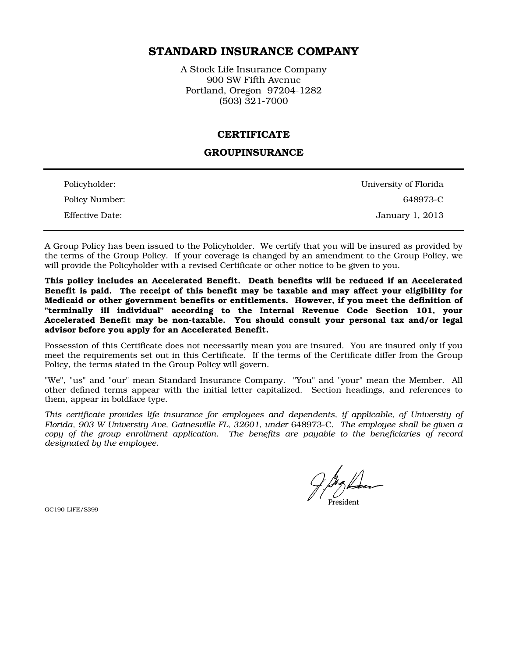# STANDARD INSURANCE COMPANY

A Stock Life Insurance Company 900 SW Fifth Avenue Portland, Oregon 97204-1282 (503) 321-7000

### CERTIFICATE

### GROUPINSURANCE

| Policyholder:          | University of Florida |
|------------------------|-----------------------|
| Policy Number:         | 648973-C              |
| <b>Effective Date:</b> | January 1, 2013       |

A Group Policy has been issued to the Policyholder. We certify that you will be insured as provided by the terms of the Group Policy. If your coverage is changed by an amendment to the Group Policy, we will provide the Policyholder with a revised Certificate or other notice to be given to you.

This policy includes an Accelerated Benefit. Death benefits will be reduced if an Accelerated Benefit is paid. The receipt of this benefit may be taxable and may affect your eligibility for Medicaid or other government benefits or entitlements. However, if you meet the definition of "terminally ill individual" according to the Internal Revenue Code Section 101, your Accelerated Benefit may be non-taxable. You should consult your personal tax and/or legal advisor before you apply for an Accelerated Benefit.

Possession of this Certificate does not necessarily mean you are insured. You are insured only if you meet the requirements set out in this Certificate. If the terms of the Certificate differ from the Group Policy, the terms stated in the Group Policy will govern.

"We", "us" and "our" mean Standard Insurance Company. "You" and "your" mean the Member. All other defined terms appear with the initial letter capitalized. Section headings, and references to them, appear in boldface type.

*This certificate provides life insurance for employees and dependents, if applicable, of University of Florida, 903 W University Ave, Gainesville FL, 32601, under* 648973-C. *The employee shall be given a copy of the group enrollment application. The benefits are payable to the beneficiaries of record designated by the employee.* 

GC190-LIFE/S399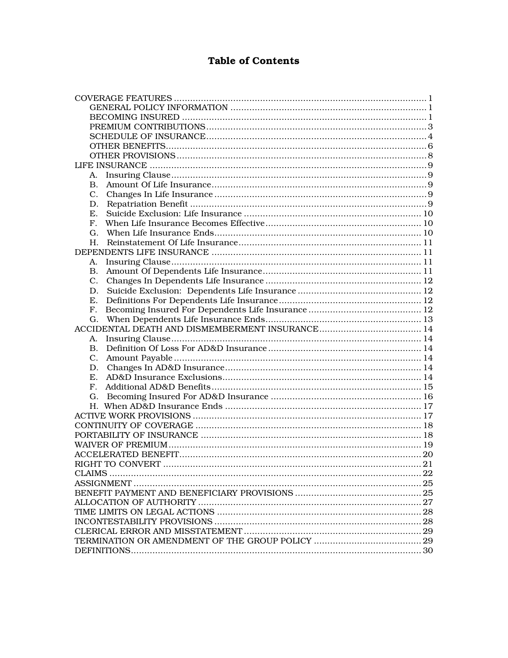# **Table of Contents**

| А.             |  |
|----------------|--|
| В.             |  |
|                |  |
| $C_{\cdot}$    |  |
| D.             |  |
| Е.             |  |
| $F_{\cdot}$    |  |
|                |  |
|                |  |
|                |  |
| А.             |  |
| <b>B.</b>      |  |
| $\mathbf{C}$ . |  |
| D.             |  |
| Е.             |  |
| F.             |  |
| G.             |  |
|                |  |
|                |  |
| А.             |  |
| В.             |  |
|                |  |
|                |  |
| E.             |  |
| $F_{\rm{r}}$   |  |
|                |  |
|                |  |
|                |  |
|                |  |
|                |  |
|                |  |
|                |  |
|                |  |
|                |  |
|                |  |
|                |  |
|                |  |
|                |  |
|                |  |
|                |  |
|                |  |
|                |  |
|                |  |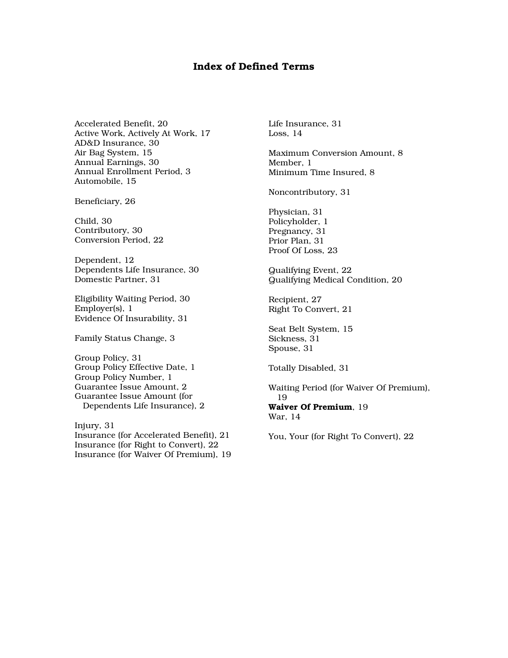### Index of Defined Terms

Accelerated Benefit, 20 Active Work, Actively At Work, 17 AD&D Insurance, 30 Air Bag System, 15 Annual Earnings, 30 Annual Enrollment Period, 3 Automobile, 15

Beneficiary, 26

Child, 30 Contributory, 30 Conversion Period, 22

Dependent, 12 Dependents Life Insurance, 30 Domestic Partner, 31

Eligibility Waiting Period, 30 Employer(s), 1 Evidence Of Insurability, 31

Family Status Change, 3

Group Policy, 31 Group Policy Effective Date, 1 Group Policy Number, 1 Guarantee Issue Amount, 2 Guarantee Issue Amount (for Dependents Life Insurance), 2

Injury, 31 Insurance (for Accelerated Benefit), 21 Insurance (for Right to Convert), 22 Insurance (for Waiver Of Premium), 19 Life Insurance, 31 Loss, 14

Maximum Conversion Amount, 8 Member, 1 Minimum Time Insured, 8

Noncontributory, 31

Physician, 31 Policyholder, 1 Pregnancy, 31 Prior Plan, 31 Proof Of Loss, 23

Qualifying Event, 22 Qualifying Medical Condition, 20

Recipient, 27 Right To Convert, 21

Seat Belt System, 15 Sickness, 31 Spouse, 31

Totally Disabled, 31

Waiting Period (for Waiver Of Premium), 19 Waiver Of Premium, 19

War, 14

You, Your (for Right To Convert), 22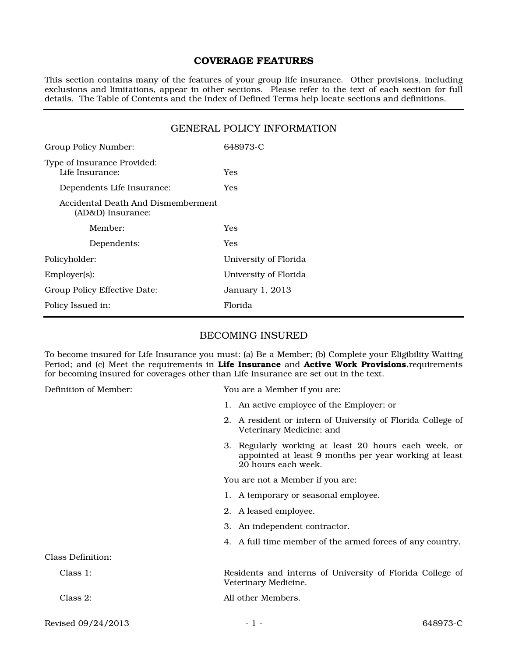### COVERAGE FEATURES

This section contains many of the features of your group life insurance. Other provisions, including exclusions and limitations, appear in other sections. Please refer to the text of each section for full details. The Table of Contents and the Index of Defined Terms help locate sections and definitions.

### GENERAL POLICY INFORMATION

| Group Policy Number:                                    | 648973-C              |
|---------------------------------------------------------|-----------------------|
| Type of Insurance Provided:<br>Life Insurance:          | <b>Yes</b>            |
| Dependents Life Insurance:                              | Yes                   |
| Accidental Death And Dismemberment<br>(AD&D) Insurance: |                       |
| Member:                                                 | Yes                   |
| Dependents:                                             | Yes                   |
| Policyholder:                                           | University of Florida |
| Employer(s):                                            | University of Florida |
| Group Policy Effective Date:                            | January 1, 2013       |
| Policy Issued in:                                       | Florida               |

### BECOMING INSURED

To become insured for Life Insurance you must: (a) Be a Member; (b) Complete your Eligibility Waiting Period; and (c) Meet the requirements in Life Insurance and Active Work Provisions.requirements for becoming insured for coverages other than Life Insurance are set out in the text.

Definition of Member: You are a Member if you are:

- 1. An active employee of the Employer; or
- 2. A resident or intern of University of Florida College of Veterinary Medicine; and
- 3. Regularly working at least 20 hours each week, or appointed at least 9 months per year working at least 20 hours each week.

You are not a Member if you are:

- 1. A temporary or seasonal employee.
- 2. A leased employee.
- 3. An independent contractor.
- 4. A full time member of the armed forces of any country.

Class 1: Residents and interns of University of Florida College of Veterinary Medicine. Class 2: All other Members.

Revised 09/24/2013 - 1 - 648973-C

Class Definition: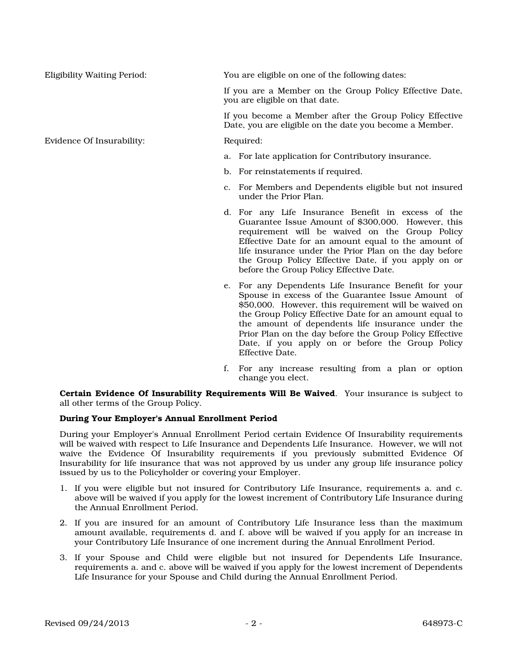Evidence Of Insurability: Required:

Eligibility Waiting Period: You are eligible on one of the following dates:

If you are a Member on the Group Policy Effective Date, you are eligible on that date.

If you become a Member after the Group Policy Effective Date, you are eligible on the date you become a Member.

- a. For late application for Contributory insurance.
- b. For reinstatements if required.
- c. For Members and Dependents eligible but not insured under the Prior Plan.
- d. For any Life Insurance Benefit in excess of the Guarantee Issue Amount of \$300,000. However, this requirement will be waived on the Group Policy Effective Date for an amount equal to the amount of life insurance under the Prior Plan on the day before the Group Policy Effective Date, if you apply on or before the Group Policy Effective Date.
- e. For any Dependents Life Insurance Benefit for your Spouse in excess of the Guarantee Issue Amount of \$50,000. However, this requirement will be waived on the Group Policy Effective Date for an amount equal to the amount of dependents life insurance under the Prior Plan on the day before the Group Policy Effective Date, if you apply on or before the Group Policy Effective Date.
- f. For any increase resulting from a plan or option change you elect.

Certain Evidence Of Insurability Requirements Will Be Waived. Your insurance is subject to all other terms of the Group Policy.

### During Your Employer's Annual Enrollment Period

During your Employer's Annual Enrollment Period certain Evidence Of Insurability requirements will be waived with respect to Life Insurance and Dependents Life Insurance. However, we will not waive the Evidence Of Insurability requirements if you previously submitted Evidence Of Insurability for life insurance that was not approved by us under any group life insurance policy issued by us to the Policyholder or covering your Employer.

- 1. If you were eligible but not insured for Contributory Life Insurance, requirements a. and c. above will be waived if you apply for the lowest increment of Contributory Life Insurance during the Annual Enrollment Period.
- 2. If you are insured for an amount of Contributory Life Insurance less than the maximum amount available, requirements d. and f. above will be waived if you apply for an increase in your Contributory Life Insurance of one increment during the Annual Enrollment Period.
- 3. If your Spouse and Child were eligible but not insured for Dependents Life Insurance, requirements a. and c. above will be waived if you apply for the lowest increment of Dependents Life Insurance for your Spouse and Child during the Annual Enrollment Period.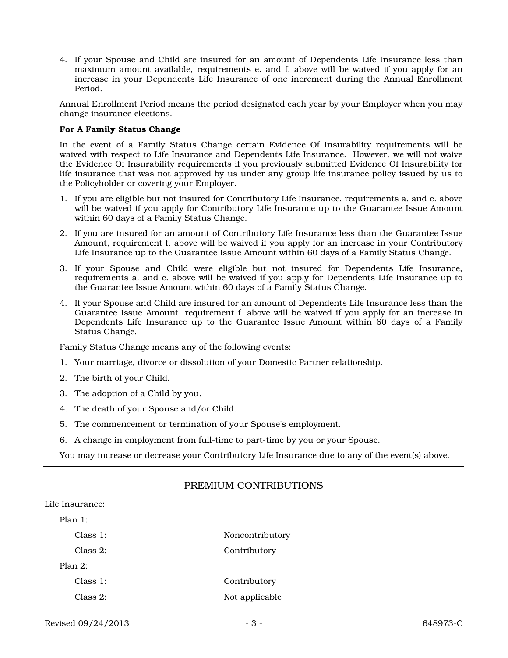4. If your Spouse and Child are insured for an amount of Dependents Life Insurance less than maximum amount available, requirements e. and f. above will be waived if you apply for an increase in your Dependents Life Insurance of one increment during the Annual Enrollment Period.

Annual Enrollment Period means the period designated each year by your Employer when you may change insurance elections.

### For A Family Status Change

In the event of a Family Status Change certain Evidence Of Insurability requirements will be waived with respect to Life Insurance and Dependents Life Insurance. However, we will not waive the Evidence Of Insurability requirements if you previously submitted Evidence Of Insurability for life insurance that was not approved by us under any group life insurance policy issued by us to the Policyholder or covering your Employer.

- 1. If you are eligible but not insured for Contributory Life Insurance, requirements a. and c. above will be waived if you apply for Contributory Life Insurance up to the Guarantee Issue Amount within 60 days of a Family Status Change.
- 2. If you are insured for an amount of Contributory Life Insurance less than the Guarantee Issue Amount, requirement f. above will be waived if you apply for an increase in your Contributory Life Insurance up to the Guarantee Issue Amount within 60 days of a Family Status Change.
- 3. If your Spouse and Child were eligible but not insured for Dependents Life Insurance, requirements a. and c. above will be waived if you apply for Dependents Life Insurance up to the Guarantee Issue Amount within 60 days of a Family Status Change.
- 4. If your Spouse and Child are insured for an amount of Dependents Life Insurance less than the Guarantee Issue Amount, requirement f. above will be waived if you apply for an increase in Dependents Life Insurance up to the Guarantee Issue Amount within 60 days of a Family Status Change.

Family Status Change means any of the following events:

- 1. Your marriage, divorce or dissolution of your Domestic Partner relationship.
- 2. The birth of your Child.
- 3. The adoption of a Child by you.
- 4. The death of your Spouse and/or Child.
- 5. The commencement or termination of your Spouse's employment.
- 6. A change in employment from full-time to part-time by you or your Spouse.

You may increase or decrease your Contributory Life Insurance due to any of the event(s) above.

# PREMIUM CONTRIBUTIONS

# Life Insurance: Plan 1:

| Class 1:    | Noncontributory |
|-------------|-----------------|
| $Class 2$ : | Contributory    |
| Plan $2$ :  |                 |
| Class 1:    | Contributory    |
| Class 2:    | Not applicable  |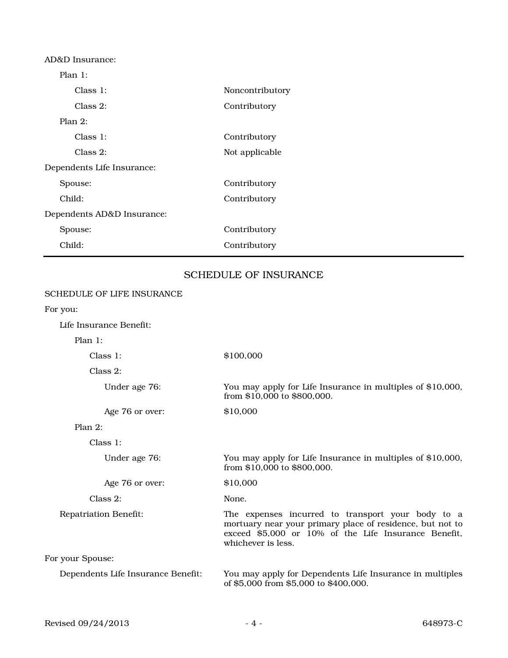| Noncontributory |
|-----------------|
| Contributory    |
|                 |
| Contributory    |
| Not applicable  |
|                 |
| Contributory    |
| Contributory    |
|                 |
| Contributory    |
| Contributory    |
|                 |

# SCHEDULE OF INSURANCE

| <b>SCHEDULE OF LIFE INSURANCE</b>  |                                                                                                                                                                                              |
|------------------------------------|----------------------------------------------------------------------------------------------------------------------------------------------------------------------------------------------|
| For you:                           |                                                                                                                                                                                              |
| Life Insurance Benefit:            |                                                                                                                                                                                              |
| Plan 1:                            |                                                                                                                                                                                              |
| Class 1:                           | \$100,000                                                                                                                                                                                    |
| $Class 2$ :                        |                                                                                                                                                                                              |
| Under age 76:                      | You may apply for Life Insurance in multiples of \$10,000,<br>from \$10,000 to \$800,000.                                                                                                    |
| Age 76 or over:                    | \$10,000                                                                                                                                                                                     |
| Plan $2$ :                         |                                                                                                                                                                                              |
| Class 1:                           |                                                                                                                                                                                              |
| Under age 76:                      | You may apply for Life Insurance in multiples of \$10,000,<br>from \$10,000 to \$800,000.                                                                                                    |
| Age 76 or over:                    | \$10,000                                                                                                                                                                                     |
| $Class 2$ :                        | None.                                                                                                                                                                                        |
| <b>Repatriation Benefit:</b>       | The expenses incurred to transport your body to a<br>mortuary near your primary place of residence, but not to<br>exceed \$5,000 or 10% of the Life Insurance Benefit,<br>whichever is less. |
| For your Spouse:                   |                                                                                                                                                                                              |
| Dependents Life Insurance Benefit: | You may apply for Dependents Life Insurance in multiples<br>of \$5,000 from \$5,000 to \$400,000.                                                                                            |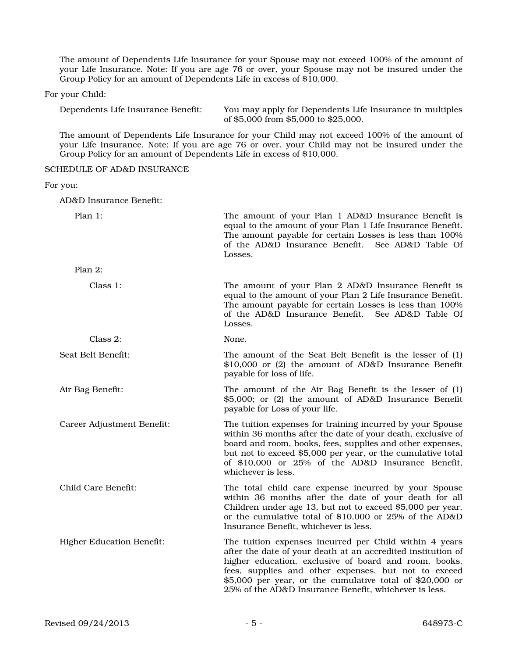The amount of Dependents Life Insurance for your Spouse may not exceed 100% of the amount of your Life Insurance. Note: If you are age 76 or over, your Spouse may not be insured under the Group Policy for an amount of Dependents Life in excess of \$10,000.

For your Child:

Dependents Life Insurance Benefit: You may apply for Dependents Life Insurance in multiples of \$5,000 from \$5,000 to \$25,000.

The amount of Dependents Life Insurance for your Child may not exceed 100% of the amount of your Life Insurance. Note: If you are age 76 or over, your Child may not be insured under the Group Policy for an amount of Dependents Life in excess of \$10,000.

SCHEDULE OF AD&D INSURANCE

For you:

AD&D Insurance Benefit:

| Plan 1:                          | The amount of your Plan 1 AD&D Insurance Benefit is<br>equal to the amount of your Plan 1 Life Insurance Benefit.<br>The amount payable for certain Losses is less than 100%<br>of the AD&D Insurance Benefit. See AD&D Table Of<br>Losses.                                                                                                                    |
|----------------------------------|----------------------------------------------------------------------------------------------------------------------------------------------------------------------------------------------------------------------------------------------------------------------------------------------------------------------------------------------------------------|
| Plan 2:                          |                                                                                                                                                                                                                                                                                                                                                                |
| Class 1:                         | The amount of your Plan 2 AD&D Insurance Benefit is<br>equal to the amount of your Plan 2 Life Insurance Benefit.<br>The amount payable for certain Losses is less than 100%<br>of the AD&D Insurance Benefit. See AD&D Table Of<br>Losses.                                                                                                                    |
| Class 2:                         | None.                                                                                                                                                                                                                                                                                                                                                          |
| Seat Belt Benefit:               | The amount of the Seat Belt Benefit is the lesser of (1)<br>\$10,000 or (2) the amount of AD&D Insurance Benefit<br>payable for loss of life.                                                                                                                                                                                                                  |
| Air Bag Benefit:                 | The amount of the Air Bag Benefit is the lesser of (1)<br>\$5,000; or (2) the amount of AD&D Insurance Benefit<br>payable for Loss of your life.                                                                                                                                                                                                               |
| Career Adjustment Benefit:       | The tuition expenses for training incurred by your Spouse<br>within 36 months after the date of your death, exclusive of<br>board and room, books, fees, supplies and other expenses,<br>but not to exceed \$5,000 per year, or the cumulative total<br>of \$10,000 or 25% of the AD&D Insurance Benefit,<br>whichever is less.                                |
| Child Care Benefit:              | The total child care expense incurred by your Spouse<br>within 36 months after the date of your death for all<br>Children under age 13, but not to exceed \$5,000 per year,<br>or the cumulative total of \$10,000 or 25% of the AD&D<br>Insurance Benefit, whichever is less.                                                                                 |
| <b>Higher Education Benefit:</b> | The tuition expenses incurred per Child within 4 years<br>after the date of your death at an accredited institution of<br>higher education, exclusive of board and room, books,<br>fees, supplies and other expenses, but not to exceed<br>$$5,000$ per year, or the cumulative total of $$20,000$ or<br>25% of the AD&D Insurance Benefit, whichever is less. |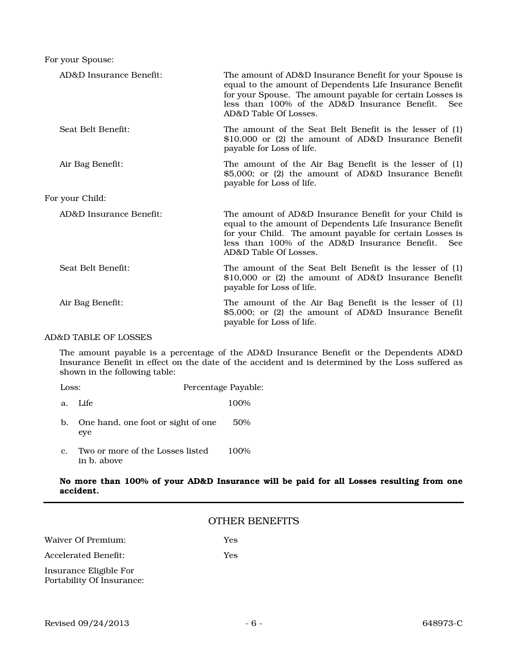For your Spouse:

| AD&D Insurance Benefit: | The amount of AD&D Insurance Benefit for your Spouse is<br>equal to the amount of Dependents Life Insurance Benefit<br>for your Spouse. The amount payable for certain Losses is<br>less than 100% of the AD&D Insurance Benefit.<br><b>See</b><br>AD&D Table Of Losses. |
|-------------------------|--------------------------------------------------------------------------------------------------------------------------------------------------------------------------------------------------------------------------------------------------------------------------|
| Seat Belt Benefit:      | The amount of the Seat Belt Benefit is the lesser of (1)<br>$$10,000$ or (2) the amount of AD&D Insurance Benefit<br>payable for Loss of life.                                                                                                                           |
| Air Bag Benefit:        | The amount of the Air Bag Benefit is the lesser of (1)<br>\$5,000; or (2) the amount of AD&D Insurance Benefit<br>payable for Loss of life.                                                                                                                              |
| For your Child:         |                                                                                                                                                                                                                                                                          |
| AD&D Insurance Benefit: | The amount of AD&D Insurance Benefit for your Child is<br>equal to the amount of Dependents Life Insurance Benefit<br>for your Child. The amount payable for certain Losses is<br>less than 100% of the AD&D Insurance Benefit. See<br>AD&D Table Of Losses.             |
| Seat Belt Benefit:      | The amount of the Seat Belt Benefit is the lesser of (1)<br>\$10,000 or (2) the amount of AD&D Insurance Benefit<br>payable for Loss of life.                                                                                                                            |
| Air Bag Benefit:        | The amount of the Air Bag Benefit is the lesser of (1)<br>\$5,000; or (2) the amount of AD&D Insurance Benefit<br>payable for Loss of life.                                                                                                                              |

#### AD&D TABLE OF LOSSES

The amount payable is a percentage of the AD&D Insurance Benefit or the Dependents AD&D Insurance Benefit in effect on the date of the accident and is determined by the Loss suffered as shown in the following table:

| Loss: |                                                 | Percentage Payable: |  |
|-------|-------------------------------------------------|---------------------|--|
| a.    | Life.                                           | 100%                |  |
|       | One hand, one foot or sight of one<br>eye       | 50%                 |  |
| C.    | Two or more of the Losses listed<br>in b. above | 100%                |  |

### No more than 100% of your AD&D Insurance will be paid for all Losses resulting from one accident.

### OTHER BENEFITS

Waiver Of Premium: Yes

Accelerated Benefit: Yes

Insurance Eligible For Portability Of Insurance: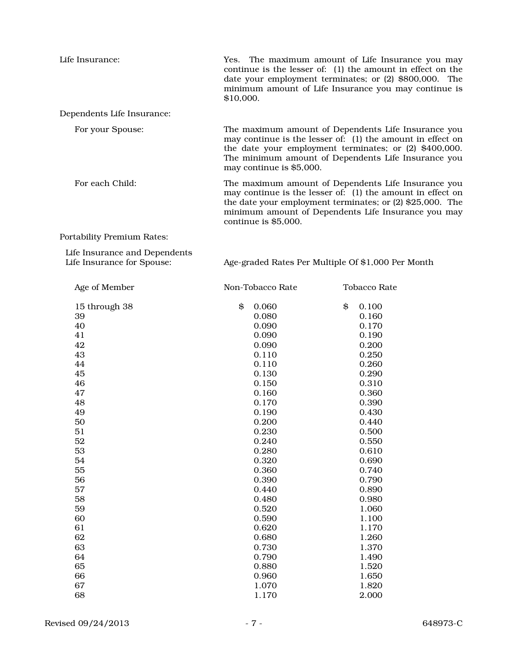| Life Insurance:                                                                                                                       | Yes. The maximum amount of Life Insurance you may<br>continue is the lesser of: (1) the amount in effect on the<br>date your employment terminates; or (2) \$800,000. The<br>minimum amount of Life Insurance you may continue is<br>\$10,000.                  |                                                                                                                                                                                                 |  |
|---------------------------------------------------------------------------------------------------------------------------------------|-----------------------------------------------------------------------------------------------------------------------------------------------------------------------------------------------------------------------------------------------------------------|-------------------------------------------------------------------------------------------------------------------------------------------------------------------------------------------------|--|
| Dependents Life Insurance:                                                                                                            |                                                                                                                                                                                                                                                                 |                                                                                                                                                                                                 |  |
| For your Spouse:                                                                                                                      | The maximum amount of Dependents Life Insurance you<br>may continue is the lesser of: (1) the amount in effect on<br>the date your employment terminates; or (2) \$400,000.<br>The minimum amount of Dependents Life Insurance you<br>may continue is \$5,000.  |                                                                                                                                                                                                 |  |
| For each Child:                                                                                                                       | The maximum amount of Dependents Life Insurance you<br>may continue is the lesser of: (1) the amount in effect on<br>the date your employment terminates; or $(2)$ \$25,000. The<br>minimum amount of Dependents Life Insurance you may<br>continue is \$5,000. |                                                                                                                                                                                                 |  |
| Portability Premium Rates:                                                                                                            |                                                                                                                                                                                                                                                                 |                                                                                                                                                                                                 |  |
| Life Insurance and Dependents<br>Life Insurance for Spouse:                                                                           | Age-graded Rates Per Multiple Of \$1,000 Per Month                                                                                                                                                                                                              |                                                                                                                                                                                                 |  |
| Age of Member                                                                                                                         | Non-Tobacco Rate                                                                                                                                                                                                                                                | <b>Tobacco Rate</b>                                                                                                                                                                             |  |
| 15 through 38<br>39<br>40<br>41<br>42<br>43<br>44<br>45<br>46<br>47<br>48<br>49<br>50<br>51<br>52<br>53<br>54<br>55<br>56<br>57<br>58 | 0.060<br>\$<br>0.080<br>0.090<br>0.090<br>0.090<br>0.110<br>0.110<br>0.130<br>0.150<br>0.160<br>0.170<br>0.190<br>0.200<br>0.230<br>0.240<br>0.280<br>0.320<br>0.360<br>0.390<br>0.440<br>0.480                                                                 | \$<br>0.100<br>0.160<br>0.170<br>0.190<br>0.200<br>0.250<br>0.260<br>0.290<br>0.310<br>0.360<br>0.390<br>0.430<br>0.440<br>0.500<br>0.550<br>0.610<br>0.690<br>0.740<br>0.790<br>0.890<br>0.980 |  |
| 59<br>60<br>61<br>62<br>63<br>64                                                                                                      | 0.520<br>0.590<br>0.620<br>0.680<br>0.730<br>0.790                                                                                                                                                                                                              | 1.060<br>1.100<br>1.170<br>1.260<br>1.370<br>1.490                                                                                                                                              |  |

65 0.880 1.520 66 0.960 1.650 67 1.070 1.820 68 1.170 2.000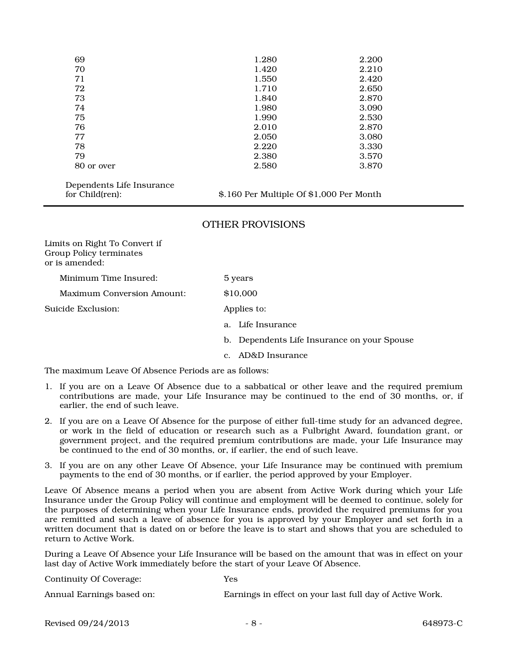| 69         | 1.280 | 2.200 |
|------------|-------|-------|
| 70         | 1.420 | 2.210 |
| 71         | 1.550 | 2.420 |
| 72         | 1.710 | 2.650 |
| 73         | 1.840 | 2.870 |
| 74         | 1.980 | 3.090 |
| 75         | 1.990 | 2.530 |
| 76         | 2.010 | 2.870 |
| 77         | 2.050 | 3.080 |
| 78         | 2.220 | 3.330 |
| 79         | 2.380 | 3.570 |
| 80 or over | 2.580 | 3.870 |
|            |       |       |

Dependents Life Insurance

for Child(ren): \$.160 Per Multiple Of \$1,000 Per Month

# OTHER PROVISIONS

Limits on Right To Convert if Group Policy terminates or is amended: Minimum Time Insured: 5 years Maximum Conversion Amount: \$10,000 Suicide Exclusion: Applies to: a. Life Insurance b. Dependents Life Insurance on your Spouse c. AD&D Insurance

The maximum Leave Of Absence Periods are as follows:

- 1. If you are on a Leave Of Absence due to a sabbatical or other leave and the required premium contributions are made, your Life Insurance may be continued to the end of 30 months, or, if earlier, the end of such leave.
- 2. If you are on a Leave Of Absence for the purpose of either full-time study for an advanced degree, or work in the field of education or research such as a Fulbright Award, foundation grant, or government project, and the required premium contributions are made, your Life Insurance may be continued to the end of 30 months, or, if earlier, the end of such leave.
- 3. If you are on any other Leave Of Absence, your Life Insurance may be continued with premium payments to the end of 30 months, or if earlier, the period approved by your Employer.

Leave Of Absence means a period when you are absent from Active Work during which your Life Insurance under the Group Policy will continue and employment will be deemed to continue, solely for the purposes of determining when your Life Insurance ends, provided the required premiums for you are remitted and such a leave of absence for you is approved by your Employer and set forth in a written document that is dated on or before the leave is to start and shows that you are scheduled to return to Active Work.

During a Leave Of Absence your Life Insurance will be based on the amount that was in effect on your last day of Active Work immediately before the start of your Leave Of Absence.

Continuity Of Coverage: Yes

Annual Earnings based on: Earnings in effect on your last full day of Active Work.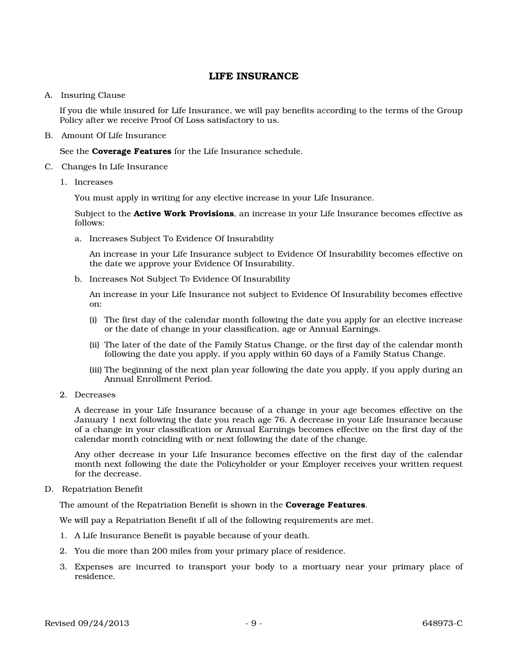# LIFE INSURANCE

### A. Insuring Clause

If you die while insured for Life Insurance, we will pay benefits according to the terms of the Group Policy after we receive Proof Of Loss satisfactory to us.

B. Amount Of Life Insurance

See the **Coverage Features** for the Life Insurance schedule.

- C. Changes In Life Insurance
	- 1. Increases

You must apply in writing for any elective increase in your Life Insurance.

Subject to the Active Work Provisions, an increase in your Life Insurance becomes effective as follows:

a. Increases Subject To Evidence Of Insurability

An increase in your Life Insurance subject to Evidence Of Insurability becomes effective on the date we approve your Evidence Of Insurability.

b. Increases Not Subject To Evidence Of Insurability

An increase in your Life Insurance not subject to Evidence Of Insurability becomes effective on:

- (i) The first day of the calendar month following the date you apply for an elective increase or the date of change in your classification, age or Annual Earnings.
- (ii) The later of the date of the Family Status Change, or the first day of the calendar month following the date you apply, if you apply within 60 days of a Family Status Change.
- (iii) The beginning of the next plan year following the date you apply, if you apply during an Annual Enrollment Period.
- 2. Decreases

A decrease in your Life Insurance because of a change in your age becomes effective on the January 1 next following the date you reach age 76. A decrease in your Life Insurance because of a change in your classification or Annual Earnings becomes effective on the first day of the calendar month coinciding with or next following the date of the change.

Any other decrease in your Life Insurance becomes effective on the first day of the calendar month next following the date the Policyholder or your Employer receives your written request for the decrease.

D. Repatriation Benefit

The amount of the Repatriation Benefit is shown in the **Coverage Features**.

We will pay a Repatriation Benefit if all of the following requirements are met.

- 1. A Life Insurance Benefit is payable because of your death.
- 2. You die more than 200 miles from your primary place of residence.
- 3. Expenses are incurred to transport your body to a mortuary near your primary place of residence.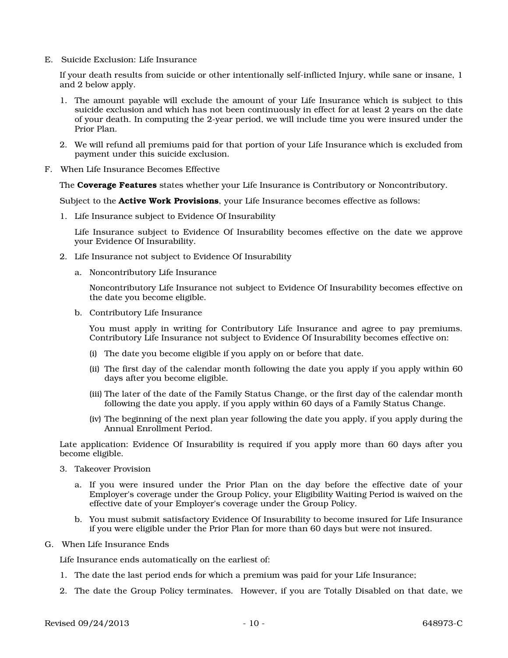E. Suicide Exclusion: Life Insurance

If your death results from suicide or other intentionally self-inflicted Injury, while sane or insane, 1 and 2 below apply.

- 1. The amount payable will exclude the amount of your Life Insurance which is subject to this suicide exclusion and which has not been continuously in effect for at least 2 years on the date of your death. In computing the 2-year period, we will include time you were insured under the Prior Plan.
- 2. We will refund all premiums paid for that portion of your Life Insurance which is excluded from payment under this suicide exclusion.
- F. When Life Insurance Becomes Effective

The Coverage Features states whether your Life Insurance is Contributory or Noncontributory.

Subject to the **Active Work Provisions**, your Life Insurance becomes effective as follows:

1. Life Insurance subject to Evidence Of Insurability

Life Insurance subject to Evidence Of Insurability becomes effective on the date we approve your Evidence Of Insurability.

- 2. Life Insurance not subject to Evidence Of Insurability
	- a. Noncontributory Life Insurance

Noncontributory Life Insurance not subject to Evidence Of Insurability becomes effective on the date you become eligible.

b. Contributory Life Insurance

You must apply in writing for Contributory Life Insurance and agree to pay premiums. Contributory Life Insurance not subject to Evidence Of Insurability becomes effective on:

- (i) The date you become eligible if you apply on or before that date.
- (ii) The first day of the calendar month following the date you apply if you apply within 60 days after you become eligible.
- (iii) The later of the date of the Family Status Change, or the first day of the calendar month following the date you apply, if you apply within 60 days of a Family Status Change.
- (iv) The beginning of the next plan year following the date you apply, if you apply during the Annual Enrollment Period.

Late application: Evidence Of Insurability is required if you apply more than 60 days after you become eligible.

- 3. Takeover Provision
	- a. If you were insured under the Prior Plan on the day before the effective date of your Employer's coverage under the Group Policy, your Eligibility Waiting Period is waived on the effective date of your Employer's coverage under the Group Policy.
	- b. You must submit satisfactory Evidence Of Insurability to become insured for Life Insurance if you were eligible under the Prior Plan for more than 60 days but were not insured.
- G. When Life Insurance Ends

Life Insurance ends automatically on the earliest of:

- 1. The date the last period ends for which a premium was paid for your Life Insurance;
- 2. The date the Group Policy terminates. However, if you are Totally Disabled on that date, we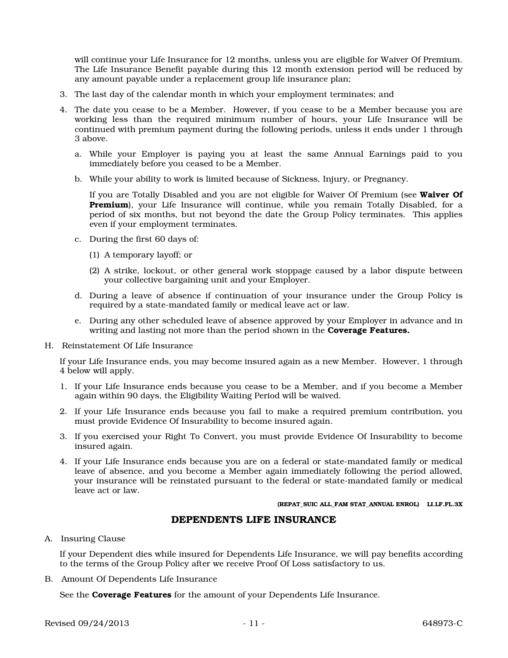will continue your Life Insurance for 12 months, unless you are eligible for Waiver Of Premium. The Life Insurance Benefit payable during this 12 month extension period will be reduced by any amount payable under a replacement group life insurance plan;

- 3. The last day of the calendar month in which your employment terminates; and
- 4. The date you cease to be a Member. However, if you cease to be a Member because you are working less than the required minimum number of hours, your Life Insurance will be continued with premium payment during the following periods, unless it ends under 1 through 3 above.
	- a. While your Employer is paying you at least the same Annual Earnings paid to you immediately before you ceased to be a Member.
	- b. While your ability to work is limited because of Sickness, Injury, or Pregnancy.

If you are Totally Disabled and you are not eligible for Waiver Of Premium (see Waiver Of Premium), your Life Insurance will continue, while you remain Totally Disabled, for a period of six months, but not beyond the date the Group Policy terminates. This applies even if your employment terminates.

- c. During the first 60 days of:
	- (1) A temporary layoff; or
	- (2) A strike, lockout, or other general work stoppage caused by a labor dispute between your collective bargaining unit and your Employer.
- d. During a leave of absence if continuation of your insurance under the Group Policy is required by a state-mandated family or medical leave act or law.
- e. During any other scheduled leave of absence approved by your Employer in advance and in writing and lasting not more than the period shown in the **Coverage Features.**
- H. Reinstatement Of Life Insurance

If your Life Insurance ends, you may become insured again as a new Member. However, 1 through 4 below will apply.

- 1. If your Life Insurance ends because you cease to be a Member, and if you become a Member again within 90 days, the Eligibility Waiting Period will be waived.
- 2. If your Life Insurance ends because you fail to make a required premium contribution, you must provide Evidence Of Insurability to become insured again.
- 3. If you exercised your Right To Convert, you must provide Evidence Of Insurability to become insured again.
- 4. If your Life Insurance ends because you are on a federal or state-mandated family or medical leave of absence, and you become a Member again immediately following the period allowed, your insurance will be reinstated pursuant to the federal or state-mandated family or medical leave act or law.

#### (REPAT\_SUIC ALL\_FAM STAT\_ANNUAL ENROL) LI.LF.FL.3X

### DEPENDENTS LIFE INSURANCE

### A. Insuring Clause

If your Dependent dies while insured for Dependents Life Insurance, we will pay benefits according to the terms of the Group Policy after we receive Proof Of Loss satisfactory to us.

B. Amount Of Dependents Life Insurance

See the **Coverage Features** for the amount of your Dependents Life Insurance.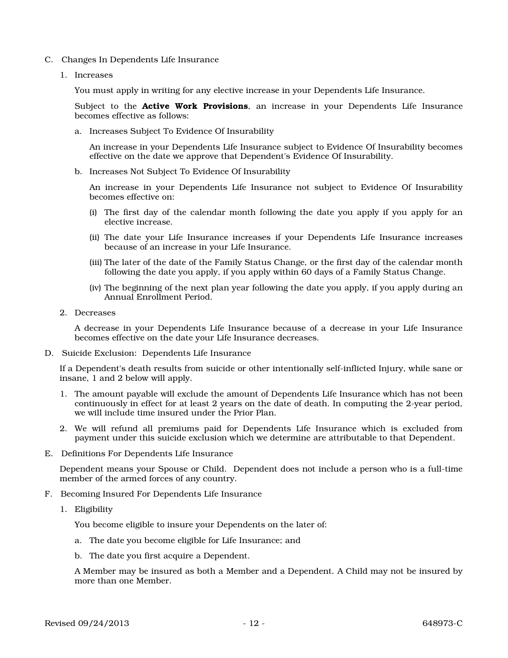- C. Changes In Dependents Life Insurance
	- 1. Increases

You must apply in writing for any elective increase in your Dependents Life Insurance.

Subject to the **Active Work Provisions**, an increase in your Dependents Life Insurance becomes effective as follows:

a. Increases Subject To Evidence Of Insurability

An increase in your Dependents Life Insurance subject to Evidence Of Insurability becomes effective on the date we approve that Dependent's Evidence Of Insurability.

b. Increases Not Subject To Evidence Of Insurability

An increase in your Dependents Life Insurance not subject to Evidence Of Insurability becomes effective on:

- (i) The first day of the calendar month following the date you apply if you apply for an elective increase.
- (ii) The date your Life Insurance increases if your Dependents Life Insurance increases because of an increase in your Life Insurance.
- (iii) The later of the date of the Family Status Change, or the first day of the calendar month following the date you apply, if you apply within 60 days of a Family Status Change.
- (iv) The beginning of the next plan year following the date you apply, if you apply during an Annual Enrollment Period.
- 2. Decreases

A decrease in your Dependents Life Insurance because of a decrease in your Life Insurance becomes effective on the date your Life Insurance decreases.

D. Suicide Exclusion: Dependents Life Insurance

If a Dependent's death results from suicide or other intentionally self-inflicted Injury, while sane or insane, 1 and 2 below will apply.

- 1. The amount payable will exclude the amount of Dependents Life Insurance which has not been continuously in effect for at least 2 years on the date of death. In computing the 2-year period, we will include time insured under the Prior Plan.
- 2. We will refund all premiums paid for Dependents Life Insurance which is excluded from payment under this suicide exclusion which we determine are attributable to that Dependent.
- E. Definitions For Dependents Life Insurance

Dependent means your Spouse or Child. Dependent does not include a person who is a full-time member of the armed forces of any country.

- F. Becoming Insured For Dependents Life Insurance
	- 1. Eligibility

You become eligible to insure your Dependents on the later of:

- a. The date you become eligible for Life Insurance; and
- b. The date you first acquire a Dependent.

A Member may be insured as both a Member and a Dependent. A Child may not be insured by more than one Member.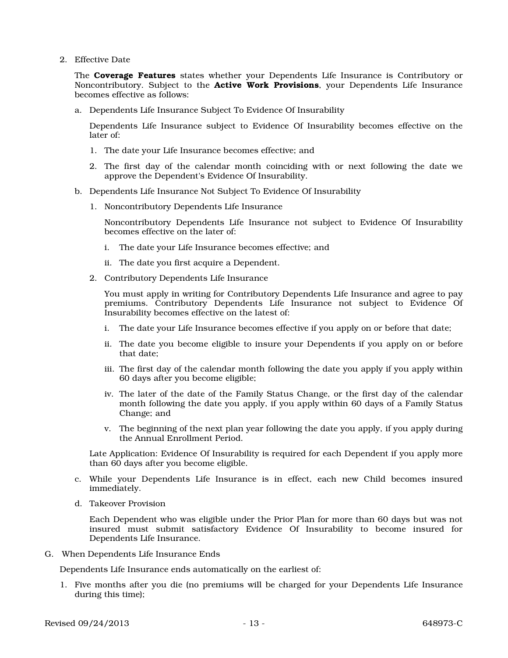2. Effective Date

The **Coverage Features** states whether your Dependents Life Insurance is Contributory or Noncontributory. Subject to the **Active Work Provisions**, your Dependents Life Insurance becomes effective as follows:

a. Dependents Life Insurance Subject To Evidence Of Insurability

Dependents Life Insurance subject to Evidence Of Insurability becomes effective on the later of:

- 1. The date your Life Insurance becomes effective; and
- 2. The first day of the calendar month coinciding with or next following the date we approve the Dependent's Evidence Of Insurability.
- b. Dependents Life Insurance Not Subject To Evidence Of Insurability
	- 1. Noncontributory Dependents Life Insurance

Noncontributory Dependents Life Insurance not subject to Evidence Of Insurability becomes effective on the later of:

- i. The date your Life Insurance becomes effective; and
- ii. The date you first acquire a Dependent.
- 2. Contributory Dependents Life Insurance

You must apply in writing for Contributory Dependents Life Insurance and agree to pay premiums. Contributory Dependents Life Insurance not subject to Evidence Of Insurability becomes effective on the latest of:

- i. The date your Life Insurance becomes effective if you apply on or before that date;
- ii. The date you become eligible to insure your Dependents if you apply on or before that date;
- iii. The first day of the calendar month following the date you apply if you apply within 60 days after you become eligible;
- iv. The later of the date of the Family Status Change, or the first day of the calendar month following the date you apply, if you apply within 60 days of a Family Status Change; and
- v. The beginning of the next plan year following the date you apply, if you apply during the Annual Enrollment Period.

Late Application: Evidence Of Insurability is required for each Dependent if you apply more than 60 days after you become eligible.

- c. While your Dependents Life Insurance is in effect, each new Child becomes insured immediately.
- d. Takeover Provision

Each Dependent who was eligible under the Prior Plan for more than 60 days but was not insured must submit satisfactory Evidence Of Insurability to become insured for Dependents Life Insurance.

G. When Dependents Life Insurance Ends

Dependents Life Insurance ends automatically on the earliest of:

1. Five months after you die (no premiums will be charged for your Dependents Life Insurance during this time);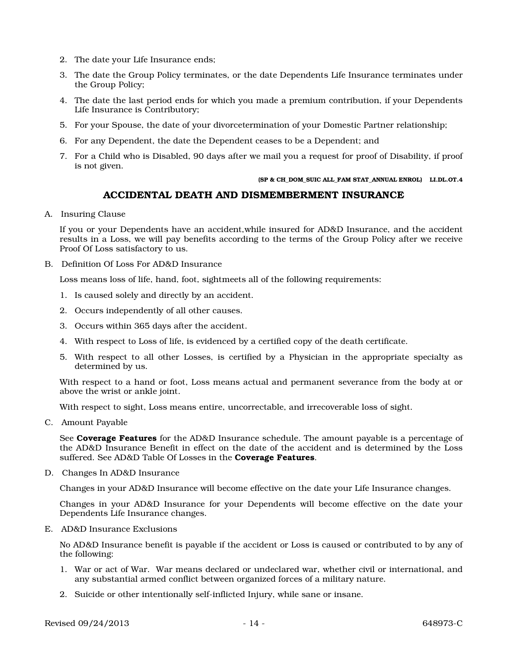- 2. The date your Life Insurance ends;
- 3. The date the Group Policy terminates, or the date Dependents Life Insurance terminates under the Group Policy;
- 4. The date the last period ends for which you made a premium contribution, if your Dependents Life Insurance is Contributory;
- 5. For your Spouse, the date of your divorcetermination of your Domestic Partner relationship;
- 6. For any Dependent, the date the Dependent ceases to be a Dependent; and
- 7. For a Child who is Disabled, 90 days after we mail you a request for proof of Disability, if proof is not given.

#### (SP & CH\_DOM\_SUIC ALL\_FAM STAT\_ANNUAL ENROL) LI.DL.OT.4

### ACCIDENTAL DEATH AND DISMEMBERMENT INSURANCE

A. Insuring Clause

If you or your Dependents have an accident,while insured for AD&D Insurance, and the accident results in a Loss, we will pay benefits according to the terms of the Group Policy after we receive Proof Of Loss satisfactory to us.

B. Definition Of Loss For AD&D Insurance

Loss means loss of life, hand, foot, sightmeets all of the following requirements:

- 1. Is caused solely and directly by an accident.
- 2. Occurs independently of all other causes.
- 3. Occurs within 365 days after the accident.
- 4. With respect to Loss of life, is evidenced by a certified copy of the death certificate.
- 5. With respect to all other Losses, is certified by a Physician in the appropriate specialty as determined by us.

With respect to a hand or foot, Loss means actual and permanent severance from the body at or above the wrist or ankle joint.

With respect to sight, Loss means entire, uncorrectable, and irrecoverable loss of sight.

C. Amount Payable

See Coverage Features for the AD&D Insurance schedule. The amount payable is a percentage of the AD&D Insurance Benefit in effect on the date of the accident and is determined by the Loss suffered. See AD&D Table Of Losses in the Coverage Features.

D. Changes In AD&D Insurance

Changes in your AD&D Insurance will become effective on the date your Life Insurance changes.

Changes in your AD&D Insurance for your Dependents will become effective on the date your Dependents Life Insurance changes.

E. AD&D Insurance Exclusions

No AD&D Insurance benefit is payable if the accident or Loss is caused or contributed to by any of the following:

- 1. War or act of War. War means declared or undeclared war, whether civil or international, and any substantial armed conflict between organized forces of a military nature.
- 2. Suicide or other intentionally self-inflicted Injury, while sane or insane.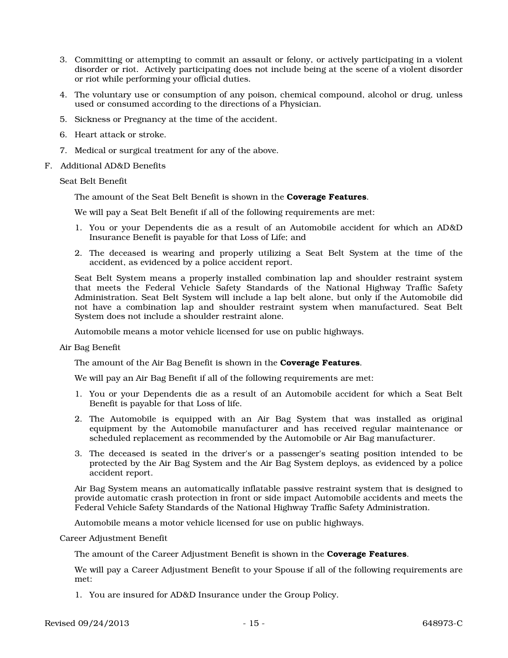- 3. Committing or attempting to commit an assault or felony, or actively participating in a violent disorder or riot. Actively participating does not include being at the scene of a violent disorder or riot while performing your official duties.
- 4. The voluntary use or consumption of any poison, chemical compound, alcohol or drug, unless used or consumed according to the directions of a Physician.
- 5. Sickness or Pregnancy at the time of the accident.
- 6. Heart attack or stroke.
- 7. Medical or surgical treatment for any of the above.
- F. Additional AD&D Benefits

Seat Belt Benefit

The amount of the Seat Belt Benefit is shown in the Coverage Features.

We will pay a Seat Belt Benefit if all of the following requirements are met:

- 1. You or your Dependents die as a result of an Automobile accident for which an AD&D Insurance Benefit is payable for that Loss of Life; and
- 2. The deceased is wearing and properly utilizing a Seat Belt System at the time of the accident, as evidenced by a police accident report.

Seat Belt System means a properly installed combination lap and shoulder restraint system that meets the Federal Vehicle Safety Standards of the National Highway Traffic Safety Administration. Seat Belt System will include a lap belt alone, but only if the Automobile did not have a combination lap and shoulder restraint system when manufactured. Seat Belt System does not include a shoulder restraint alone.

Automobile means a motor vehicle licensed for use on public highways.

Air Bag Benefit

The amount of the Air Bag Benefit is shown in the **Coverage Features**.

We will pay an Air Bag Benefit if all of the following requirements are met:

- 1. You or your Dependents die as a result of an Automobile accident for which a Seat Belt Benefit is payable for that Loss of life.
- 2. The Automobile is equipped with an Air Bag System that was installed as original equipment by the Automobile manufacturer and has received regular maintenance or scheduled replacement as recommended by the Automobile or Air Bag manufacturer.
- 3. The deceased is seated in the driver's or a passenger's seating position intended to be protected by the Air Bag System and the Air Bag System deploys, as evidenced by a police accident report.

Air Bag System means an automatically inflatable passive restraint system that is designed to provide automatic crash protection in front or side impact Automobile accidents and meets the Federal Vehicle Safety Standards of the National Highway Traffic Safety Administration.

Automobile means a motor vehicle licensed for use on public highways.

Career Adjustment Benefit

The amount of the Career Adjustment Benefit is shown in the **Coverage Features**.

We will pay a Career Adjustment Benefit to your Spouse if all of the following requirements are met:

1. You are insured for AD&D Insurance under the Group Policy.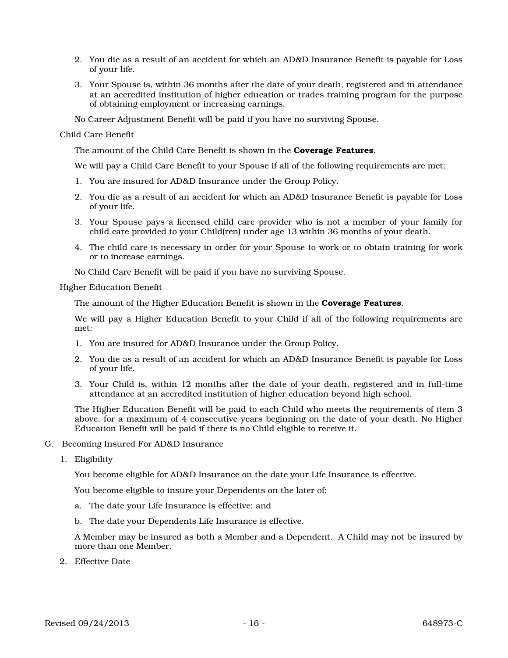- 2. You die as a result of an accident for which an AD&D Insurance Benefit is payable for Loss of your life.
- 3. Your Spouse is, within 36 months after the date of your death, registered and in attendance at an accredited institution of higher education or trades training program for the purpose of obtaining employment or increasing earnings.

No Career Adjustment Benefit will be paid if you have no surviving Spouse.

#### Child Care Benefit

The amount of the Child Care Benefit is shown in the **Coverage Features**.

We will pay a Child Care Benefit to your Spouse if all of the following requirements are met:

- 1. You are insured for AD&D Insurance under the Group Policy.
- 2. You die as a result of an accident for which an AD&D Insurance Benefit is payable for Loss of your life.
- 3. Your Spouse pays a licensed child care provider who is not a member of your family for child care provided to your Child(ren) under age 13 within 36 months of your death.
- 4. The child care is necessary in order for your Spouse to work or to obtain training for work or to increase earnings.
- No Child Care Benefit will be paid if you have no surviving Spouse.

Higher Education Benefit

The amount of the Higher Education Benefit is shown in the **Coverage Features**.

We will pay a Higher Education Benefit to your Child if all of the following requirements are met:

- 1. You are insured for AD&D Insurance under the Group Policy.
- 2. You die as a result of an accident for which an AD&D Insurance Benefit is payable for Loss of your life.
- 3. Your Child is, within 12 months after the date of your death, registered and in full-time attendance at an accredited institution of higher education beyond high school.

The Higher Education Benefit will be paid to each Child who meets the requirements of item 3 above, for a maximum of 4 consecutive years beginning on the date of your death. No Higher Education Benefit will be paid if there is no Child eligible to receive it.

- G. Becoming Insured For AD&D Insurance
	- 1. Eligibility

You become eligible for AD&D Insurance on the date your Life Insurance is effective.

You become eligible to insure your Dependents on the later of:

- a. The date your Life Insurance is effective; and
- b. The date your Dependents Life Insurance is effective.

A Member may be insured as both a Member and a Dependent. A Child may not be insured by more than one Member.

2. Effective Date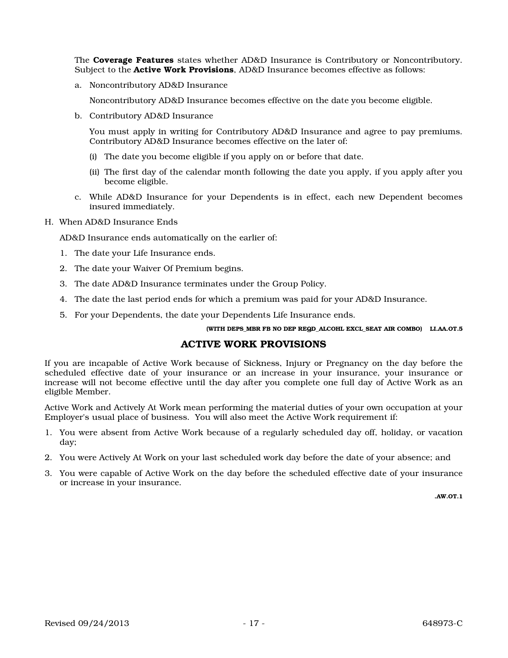The **Coverage Features** states whether AD&D Insurance is Contributory or Noncontributory. Subject to the **Active Work Provisions**, AD&D Insurance becomes effective as follows:

a. Noncontributory AD&D Insurance

Noncontributory AD&D Insurance becomes effective on the date you become eligible.

b. Contributory AD&D Insurance

You must apply in writing for Contributory AD&D Insurance and agree to pay premiums. Contributory AD&D Insurance becomes effective on the later of:

- (i) The date you become eligible if you apply on or before that date.
- (ii) The first day of the calendar month following the date you apply, if you apply after you become eligible.
- c. While AD&D Insurance for your Dependents is in effect, each new Dependent becomes insured immediately.
- H. When AD&D Insurance Ends

AD&D Insurance ends automatically on the earlier of:

- 1. The date your Life Insurance ends.
- 2. The date your Waiver Of Premium begins.
- 3. The date AD&D Insurance terminates under the Group Policy.
- 4. The date the last period ends for which a premium was paid for your AD&D Insurance.
- 5. For your Dependents, the date your Dependents Life Insurance ends.

(WITH DEPS\_MBR FB NO DEP REQD\_ALCOHL EXCL\_SEAT AIR COMBO) LI.AA.OT.5

### ACTIVE WORK PROVISIONS

If you are incapable of Active Work because of Sickness, Injury or Pregnancy on the day before the scheduled effective date of your insurance or an increase in your insurance, your insurance or increase will not become effective until the day after you complete one full day of Active Work as an eligible Member.

Active Work and Actively At Work mean performing the material duties of your own occupation at your Employer's usual place of business. You will also meet the Active Work requirement if:

- 1. You were absent from Active Work because of a regularly scheduled day off, holiday, or vacation day;
- 2. You were Actively At Work on your last scheduled work day before the date of your absence; and
- 3. You were capable of Active Work on the day before the scheduled effective date of your insurance or increase in your insurance.

.AW.OT.1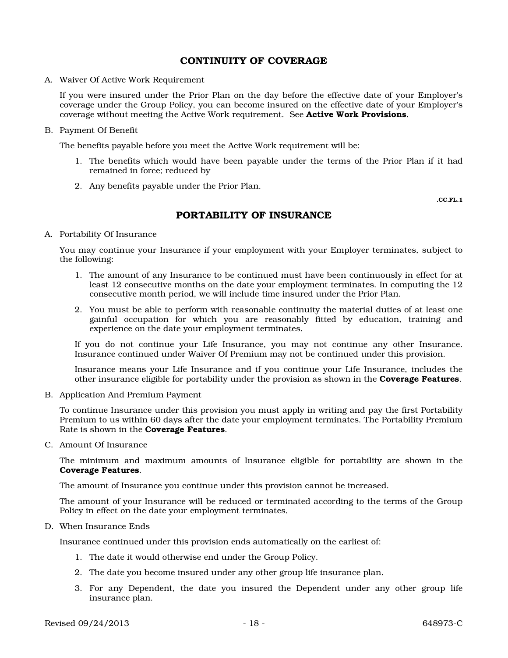### CONTINUITY OF COVERAGE

A. Waiver Of Active Work Requirement

If you were insured under the Prior Plan on the day before the effective date of your Employer's coverage under the Group Policy, you can become insured on the effective date of your Employer's coverage without meeting the Active Work requirement. See **Active Work Provisions.** 

B. Payment Of Benefit

The benefits payable before you meet the Active Work requirement will be:

- 1. The benefits which would have been payable under the terms of the Prior Plan if it had remained in force; reduced by
- 2. Any benefits payable under the Prior Plan.

.CC.FL.1

### PORTABILITY OF INSURANCE

A. Portability Of Insurance

You may continue your Insurance if your employment with your Employer terminates, subject to the following:

- 1. The amount of any Insurance to be continued must have been continuously in effect for at least 12 consecutive months on the date your employment terminates. In computing the 12 consecutive month period, we will include time insured under the Prior Plan.
- 2. You must be able to perform with reasonable continuity the material duties of at least one gainful occupation for which you are reasonably fitted by education, training and experience on the date your employment terminates.

If you do not continue your Life Insurance, you may not continue any other Insurance. Insurance continued under Waiver Of Premium may not be continued under this provision.

Insurance means your Life Insurance and if you continue your Life Insurance, includes the other insurance eligible for portability under the provision as shown in the **Coverage Features**.

B. Application And Premium Payment

To continue Insurance under this provision you must apply in writing and pay the first Portability Premium to us within 60 days after the date your employment terminates. The Portability Premium Rate is shown in the Coverage Features.

C. Amount Of Insurance

The minimum and maximum amounts of Insurance eligible for portability are shown in the Coverage Features.

The amount of Insurance you continue under this provision cannot be increased.

The amount of your Insurance will be reduced or terminated according to the terms of the Group Policy in effect on the date your employment terminates,

D. When Insurance Ends

Insurance continued under this provision ends automatically on the earliest of:

- 1. The date it would otherwise end under the Group Policy.
- 2. The date you become insured under any other group life insurance plan.
- 3. For any Dependent, the date you insured the Dependent under any other group life insurance plan.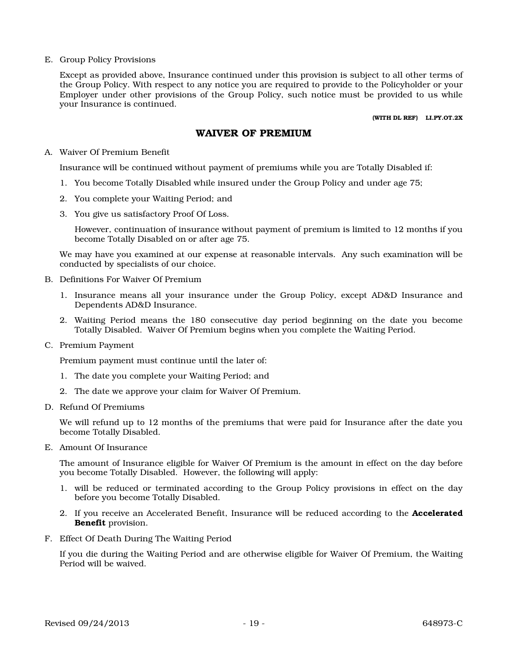E. Group Policy Provisions

Except as provided above, Insurance continued under this provision is subject to all other terms of the Group Policy. With respect to any notice you are required to provide to the Policyholder or your Employer under other provisions of the Group Policy, such notice must be provided to us while your Insurance is continued.

(WITH DL REF) LI.PY.OT.2X

## WAIVER OF PREMIUM

### A. Waiver Of Premium Benefit

Insurance will be continued without payment of premiums while you are Totally Disabled if:

- 1. You become Totally Disabled while insured under the Group Policy and under age 75;
- 2. You complete your Waiting Period; and
- 3. You give us satisfactory Proof Of Loss.

However, continuation of insurance without payment of premium is limited to 12 months if you become Totally Disabled on or after age 75.

We may have you examined at our expense at reasonable intervals. Any such examination will be conducted by specialists of our choice.

- B. Definitions For Waiver Of Premium
	- 1. Insurance means all your insurance under the Group Policy, except AD&D Insurance and Dependents AD&D Insurance.
	- 2. Waiting Period means the 180 consecutive day period beginning on the date you become Totally Disabled. Waiver Of Premium begins when you complete the Waiting Period.
- C. Premium Payment

Premium payment must continue until the later of:

- 1. The date you complete your Waiting Period; and
- 2. The date we approve your claim for Waiver Of Premium.
- D. Refund Of Premiums

We will refund up to 12 months of the premiums that were paid for Insurance after the date you become Totally Disabled.

E. Amount Of Insurance

The amount of Insurance eligible for Waiver Of Premium is the amount in effect on the day before you become Totally Disabled. However, the following will apply:

- 1. will be reduced or terminated according to the Group Policy provisions in effect on the day before you become Totally Disabled.
- 2. If you receive an Accelerated Benefit, Insurance will be reduced according to the **Accelerated** Benefit provision.
- F. Effect Of Death During The Waiting Period

If you die during the Waiting Period and are otherwise eligible for Waiver Of Premium, the Waiting Period will be waived.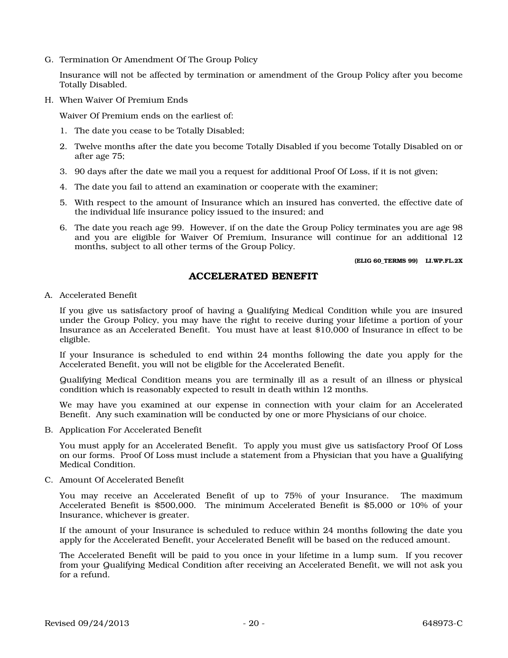G. Termination Or Amendment Of The Group Policy

Insurance will not be affected by termination or amendment of the Group Policy after you become Totally Disabled.

H. When Waiver Of Premium Ends

Waiver Of Premium ends on the earliest of:

- 1. The date you cease to be Totally Disabled;
- 2. Twelve months after the date you become Totally Disabled if you become Totally Disabled on or after age 75;
- 3. 90 days after the date we mail you a request for additional Proof Of Loss, if it is not given;
- 4. The date you fail to attend an examination or cooperate with the examiner;
- 5. With respect to the amount of Insurance which an insured has converted, the effective date of the individual life insurance policy issued to the insured; and
- 6. The date you reach age 99. However, if on the date the Group Policy terminates you are age 98 and you are eligible for Waiver Of Premium, Insurance will continue for an additional 12 months, subject to all other terms of the Group Policy.

(ELIG 60\_TERMS 99) LI.WP.FL.2X

### ACCELERATED BENEFIT

A. Accelerated Benefit

If you give us satisfactory proof of having a Qualifying Medical Condition while you are insured under the Group Policy, you may have the right to receive during your lifetime a portion of your Insurance as an Accelerated Benefit. You must have at least \$10,000 of Insurance in effect to be eligible.

If your Insurance is scheduled to end within 24 months following the date you apply for the Accelerated Benefit, you will not be eligible for the Accelerated Benefit.

Qualifying Medical Condition means you are terminally ill as a result of an illness or physical condition which is reasonably expected to result in death within 12 months.

We may have you examined at our expense in connection with your claim for an Accelerated Benefit. Any such examination will be conducted by one or more Physicians of our choice.

B. Application For Accelerated Benefit

You must apply for an Accelerated Benefit. To apply you must give us satisfactory Proof Of Loss on our forms. Proof Of Loss must include a statement from a Physician that you have a Qualifying Medical Condition.

C. Amount Of Accelerated Benefit

You may receive an Accelerated Benefit of up to 75% of your Insurance. The maximum Accelerated Benefit is \$500,000. The minimum Accelerated Benefit is \$5,000 or 10% of your Insurance, whichever is greater.

If the amount of your Insurance is scheduled to reduce within 24 months following the date you apply for the Accelerated Benefit, your Accelerated Benefit will be based on the reduced amount.

The Accelerated Benefit will be paid to you once in your lifetime in a lump sum. If you recover from your Qualifying Medical Condition after receiving an Accelerated Benefit, we will not ask you for a refund.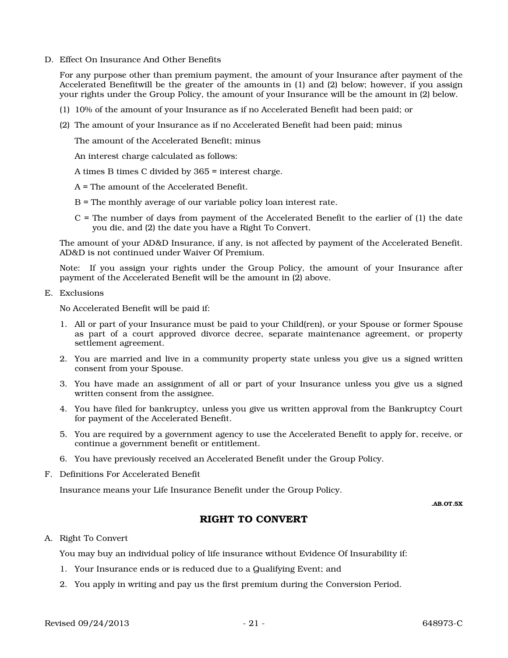D. Effect On Insurance And Other Benefits

For any purpose other than premium payment, the amount of your Insurance after payment of the Accelerated Benefitwill be the greater of the amounts in (1) and (2) below; however, if you assign your rights under the Group Policy, the amount of your Insurance will be the amount in (2) below.

- (1) 10% of the amount of your Insurance as if no Accelerated Benefit had been paid; or
- (2) The amount of your Insurance as if no Accelerated Benefit had been paid; minus

The amount of the Accelerated Benefit; minus

An interest charge calculated as follows:

A times B times C divided by 365 = interest charge.

A = The amount of the Accelerated Benefit.

- B = The monthly average of our variable policy loan interest rate.
- C = The number of days from payment of the Accelerated Benefit to the earlier of (1) the date you die, and (2) the date you have a Right To Convert.

The amount of your AD&D Insurance, if any, is not affected by payment of the Accelerated Benefit. AD&D is not continued under Waiver Of Premium.

Note: If you assign your rights under the Group Policy, the amount of your Insurance after payment of the Accelerated Benefit will be the amount in (2) above.

E. Exclusions

No Accelerated Benefit will be paid if:

- 1. All or part of your Insurance must be paid to your Child(ren), or your Spouse or former Spouse as part of a court approved divorce decree, separate maintenance agreement, or property settlement agreement.
- 2. You are married and live in a community property state unless you give us a signed written consent from your Spouse.
- 3. You have made an assignment of all or part of your Insurance unless you give us a signed written consent from the assignee.
- 4. You have filed for bankruptcy, unless you give us written approval from the Bankruptcy Court for payment of the Accelerated Benefit.
- 5. You are required by a government agency to use the Accelerated Benefit to apply for, receive, or continue a government benefit or entitlement.
- 6. You have previously received an Accelerated Benefit under the Group Policy.
- F. Definitions For Accelerated Benefit

Insurance means your Life Insurance Benefit under the Group Policy.

.AB.OT.5X

# RIGHT TO CONVERT

#### A. Right To Convert

You may buy an individual policy of life insurance without Evidence Of Insurability if:

- 1. Your Insurance ends or is reduced due to a Qualifying Event; and
- 2. You apply in writing and pay us the first premium during the Conversion Period.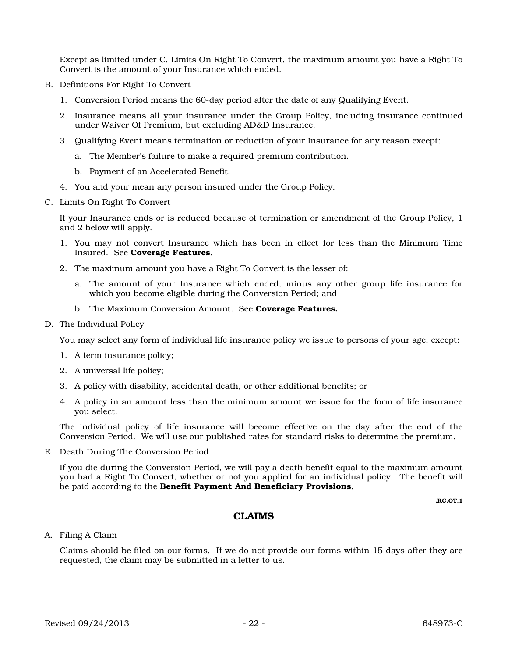Except as limited under C. Limits On Right To Convert, the maximum amount you have a Right To Convert is the amount of your Insurance which ended.

- B. Definitions For Right To Convert
	- 1. Conversion Period means the 60-day period after the date of any Qualifying Event.
	- 2. Insurance means all your insurance under the Group Policy, including insurance continued under Waiver Of Premium, but excluding AD&D Insurance.
	- 3. Qualifying Event means termination or reduction of your Insurance for any reason except:
		- a. The Member's failure to make a required premium contribution.
		- b. Payment of an Accelerated Benefit.
	- 4. You and your mean any person insured under the Group Policy.
- C. Limits On Right To Convert

If your Insurance ends or is reduced because of termination or amendment of the Group Policy, 1 and 2 below will apply.

- 1. You may not convert Insurance which has been in effect for less than the Minimum Time Insured. See Coverage Features.
- 2. The maximum amount you have a Right To Convert is the lesser of:
	- a. The amount of your Insurance which ended, minus any other group life insurance for which you become eligible during the Conversion Period; and
	- b. The Maximum Conversion Amount. See **Coverage Features.**
- D. The Individual Policy

You may select any form of individual life insurance policy we issue to persons of your age, except:

- 1. A term insurance policy;
- 2. A universal life policy;
- 3. A policy with disability, accidental death, or other additional benefits; or
- 4. A policy in an amount less than the minimum amount we issue for the form of life insurance you select.

The individual policy of life insurance will become effective on the day after the end of the Conversion Period. We will use our published rates for standard risks to determine the premium.

E. Death During The Conversion Period

If you die during the Conversion Period, we will pay a death benefit equal to the maximum amount you had a Right To Convert, whether or not you applied for an individual policy. The benefit will be paid according to the Benefit Payment And Beneficiary Provisions.

.RC.OT.1

### CLAIMS

A. Filing A Claim

Claims should be filed on our forms. If we do not provide our forms within 15 days after they are requested, the claim may be submitted in a letter to us.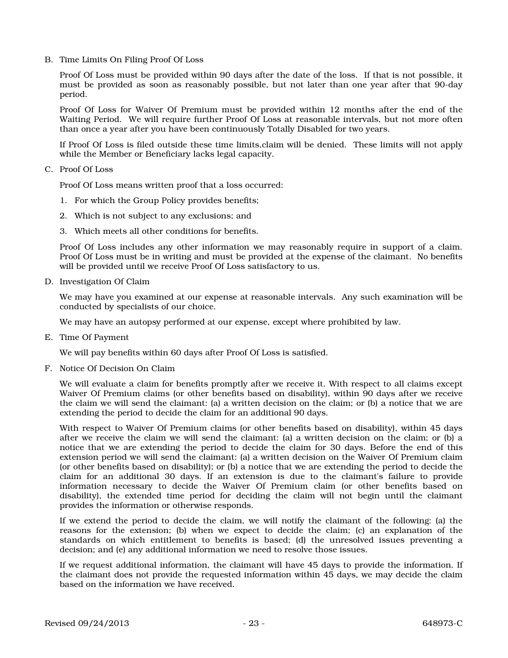B. Time Limits On Filing Proof Of Loss

Proof Of Loss must be provided within 90 days after the date of the loss. If that is not possible, it must be provided as soon as reasonably possible, but not later than one year after that 90-day period.

Proof Of Loss for Waiver Of Premium must be provided within 12 months after the end of the Waiting Period. We will require further Proof Of Loss at reasonable intervals, but not more often than once a year after you have been continuously Totally Disabled for two years.

If Proof Of Loss is filed outside these time limits,claim will be denied. These limits will not apply while the Member or Beneficiary lacks legal capacity.

C. Proof Of Loss

Proof Of Loss means written proof that a loss occurred:

- 1. For which the Group Policy provides benefits;
- 2. Which is not subject to any exclusions; and
- 3. Which meets all other conditions for benefits.

Proof Of Loss includes any other information we may reasonably require in support of a claim. Proof Of Loss must be in writing and must be provided at the expense of the claimant. No benefits will be provided until we receive Proof Of Loss satisfactory to us.

D. Investigation Of Claim

We may have you examined at our expense at reasonable intervals. Any such examination will be conducted by specialists of our choice.

We may have an autopsy performed at our expense, except where prohibited by law.

E. Time Of Payment

We will pay benefits within 60 days after Proof Of Loss is satisfied.

F. Notice Of Decision On Claim

We will evaluate a claim for benefits promptly after we receive it. With respect to all claims except Waiver Of Premium claims (or other benefits based on disability), within 90 days after we receive the claim we will send the claimant: (a) a written decision on the claim; or (b) a notice that we are extending the period to decide the claim for an additional 90 days.

With respect to Waiver Of Premium claims (or other benefits based on disability), within 45 days after we receive the claim we will send the claimant: (a) a written decision on the claim; or (b) a notice that we are extending the period to decide the claim for 30 days. Before the end of this extension period we will send the claimant: (a) a written decision on the Waiver Of Premium claim (or other benefits based on disability); or (b) a notice that we are extending the period to decide the claim for an additional 30 days. If an extension is due to the claimant's failure to provide information necessary to decide the Waiver Of Premium claim (or other benefits based on disability), the extended time period for deciding the claim will not begin until the claimant provides the information or otherwise responds.

If we extend the period to decide the claim, we will notify the claimant of the following: (a) the reasons for the extension; (b) when we expect to decide the claim; (c) an explanation of the standards on which entitlement to benefits is based; (d) the unresolved issues preventing a decision; and (e) any additional information we need to resolve those issues.

If we request additional information, the claimant will have 45 days to provide the information. If the claimant does not provide the requested information within 45 days, we may decide the claim based on the information we have received.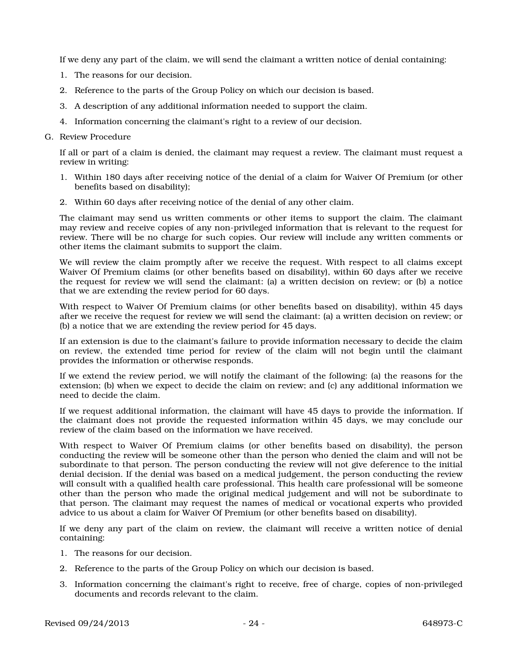If we deny any part of the claim, we will send the claimant a written notice of denial containing:

- 1. The reasons for our decision.
- 2. Reference to the parts of the Group Policy on which our decision is based.
- 3. A description of any additional information needed to support the claim.
- 4. Information concerning the claimant's right to a review of our decision.

### G. Review Procedure

If all or part of a claim is denied, the claimant may request a review. The claimant must request a review in writing:

- 1. Within 180 days after receiving notice of the denial of a claim for Waiver Of Premium (or other benefits based on disability);
- 2. Within 60 days after receiving notice of the denial of any other claim.

The claimant may send us written comments or other items to support the claim. The claimant may review and receive copies of any non-privileged information that is relevant to the request for review. There will be no charge for such copies. Our review will include any written comments or other items the claimant submits to support the claim.

We will review the claim promptly after we receive the request. With respect to all claims except Waiver Of Premium claims (or other benefits based on disability), within 60 days after we receive the request for review we will send the claimant: (a) a written decision on review; or (b) a notice that we are extending the review period for 60 days.

With respect to Waiver Of Premium claims (or other benefits based on disability), within 45 days after we receive the request for review we will send the claimant: (a) a written decision on review; or (b) a notice that we are extending the review period for 45 days.

If an extension is due to the claimant's failure to provide information necessary to decide the claim on review, the extended time period for review of the claim will not begin until the claimant provides the information or otherwise responds.

If we extend the review period, we will notify the claimant of the following: (a) the reasons for the extension; (b) when we expect to decide the claim on review; and (c) any additional information we need to decide the claim.

If we request additional information, the claimant will have 45 days to provide the information. If the claimant does not provide the requested information within 45 days, we may conclude our review of the claim based on the information we have received.

With respect to Waiver Of Premium claims (or other benefits based on disability), the person conducting the review will be someone other than the person who denied the claim and will not be subordinate to that person. The person conducting the review will not give deference to the initial denial decision. If the denial was based on a medical judgement, the person conducting the review will consult with a qualified health care professional. This health care professional will be someone other than the person who made the original medical judgement and will not be subordinate to that person. The claimant may request the names of medical or vocational experts who provided advice to us about a claim for Waiver Of Premium (or other benefits based on disability).

If we deny any part of the claim on review, the claimant will receive a written notice of denial containing:

- 1. The reasons for our decision.
- 2. Reference to the parts of the Group Policy on which our decision is based.
- 3. Information concerning the claimant's right to receive, free of charge, copies of non-privileged documents and records relevant to the claim.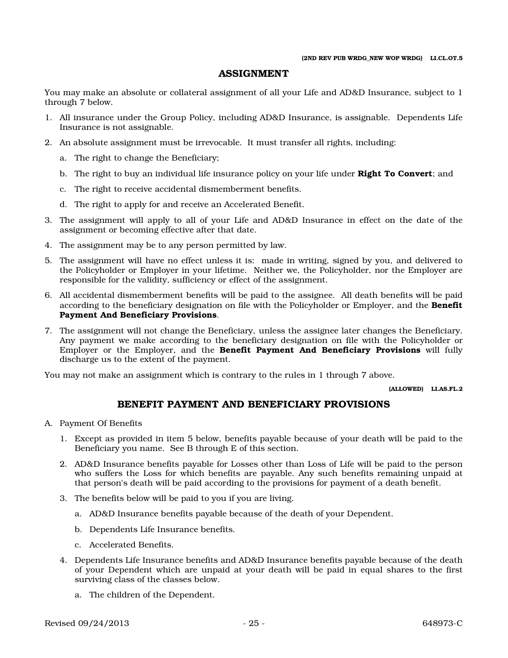### ASSIGNMENT

You may make an absolute or collateral assignment of all your Life and AD&D Insurance, subject to 1 through 7 below.

- 1. All insurance under the Group Policy, including AD&D Insurance, is assignable. Dependents Life Insurance is not assignable.
- 2. An absolute assignment must be irrevocable. It must transfer all rights, including:
	- a. The right to change the Beneficiary;
	- b. The right to buy an individual life insurance policy on your life under **Right To Convert**; and
	- c. The right to receive accidental dismemberment benefits.
	- d. The right to apply for and receive an Accelerated Benefit.
- 3. The assignment will apply to all of your Life and AD&D Insurance in effect on the date of the assignment or becoming effective after that date.
- 4. The assignment may be to any person permitted by law.
- 5. The assignment will have no effect unless it is: made in writing, signed by you, and delivered to the Policyholder or Employer in your lifetime. Neither we, the Policyholder, nor the Employer are responsible for the validity, sufficiency or effect of the assignment.
- 6. All accidental dismemberment benefits will be paid to the assignee. All death benefits will be paid according to the beneficiary designation on file with the Policyholder or Employer, and the **Benefit** Payment And Beneficiary Provisions.
- 7. The assignment will not change the Beneficiary, unless the assignee later changes the Beneficiary. Any payment we make according to the beneficiary designation on file with the Policyholder or Employer or the Employer, and the **Benefit Payment And Beneficiary Provisions** will fully discharge us to the extent of the payment.

You may not make an assignment which is contrary to the rules in 1 through 7 above.

(ALLOWED) LI.AS.FL.2

## BENEFIT PAYMENT AND BENEFICIARY PROVISIONS

- A. Payment Of Benefits
	- 1. Except as provided in item 5 below, benefits payable because of your death will be paid to the Beneficiary you name. See B through E of this section.
	- 2. AD&D Insurance benefits payable for Losses other than Loss of Life will be paid to the person who suffers the Loss for which benefits are payable. Any such benefits remaining unpaid at that person's death will be paid according to the provisions for payment of a death benefit.
	- 3. The benefits below will be paid to you if you are living.
		- a. AD&D Insurance benefits payable because of the death of your Dependent.
		- b. Dependents Life Insurance benefits.
		- c. Accelerated Benefits.
	- 4. Dependents Life Insurance benefits and AD&D Insurance benefits payable because of the death of your Dependent which are unpaid at your death will be paid in equal shares to the first surviving class of the classes below.
		- a. The children of the Dependent.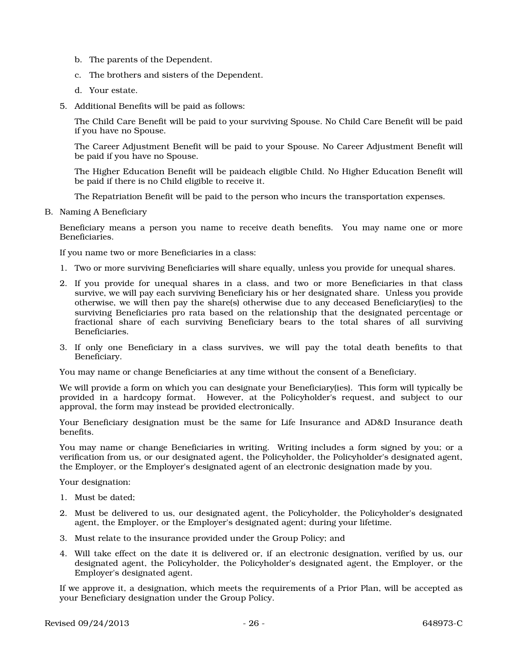- b. The parents of the Dependent.
- c. The brothers and sisters of the Dependent.
- d. Your estate.
- 5. Additional Benefits will be paid as follows:

The Child Care Benefit will be paid to your surviving Spouse. No Child Care Benefit will be paid if you have no Spouse.

The Career Adjustment Benefit will be paid to your Spouse. No Career Adjustment Benefit will be paid if you have no Spouse.

The Higher Education Benefit will be paideach eligible Child. No Higher Education Benefit will be paid if there is no Child eligible to receive it.

The Repatriation Benefit will be paid to the person who incurs the transportation expenses.

B. Naming A Beneficiary

Beneficiary means a person you name to receive death benefits. You may name one or more Beneficiaries.

If you name two or more Beneficiaries in a class:

- 1. Two or more surviving Beneficiaries will share equally, unless you provide for unequal shares.
- 2. If you provide for unequal shares in a class, and two or more Beneficiaries in that class survive, we will pay each surviving Beneficiary his or her designated share. Unless you provide otherwise, we will then pay the share(s) otherwise due to any deceased Beneficiary(ies) to the surviving Beneficiaries pro rata based on the relationship that the designated percentage or fractional share of each surviving Beneficiary bears to the total shares of all surviving Beneficiaries.
- 3. If only one Beneficiary in a class survives, we will pay the total death benefits to that Beneficiary.

You may name or change Beneficiaries at any time without the consent of a Beneficiary.

We will provide a form on which you can designate your Beneficiary(ies). This form will typically be provided in a hardcopy format. However, at the Policyholder's request, and subject to our approval, the form may instead be provided electronically.

Your Beneficiary designation must be the same for Life Insurance and AD&D Insurance death benefits.

You may name or change Beneficiaries in writing. Writing includes a form signed by you; or a verification from us, or our designated agent, the Policyholder, the Policyholder's designated agent, the Employer, or the Employer's designated agent of an electronic designation made by you.

Your designation:

- 1. Must be dated;
- 2. Must be delivered to us, our designated agent, the Policyholder, the Policyholder's designated agent, the Employer, or the Employer's designated agent; during your lifetime.
- 3. Must relate to the insurance provided under the Group Policy; and
- 4. Will take effect on the date it is delivered or, if an electronic designation, verified by us, our designated agent, the Policyholder, the Policyholder's designated agent, the Employer, or the Employer's designated agent.

If we approve it, a designation, which meets the requirements of a Prior Plan, will be accepted as your Beneficiary designation under the Group Policy.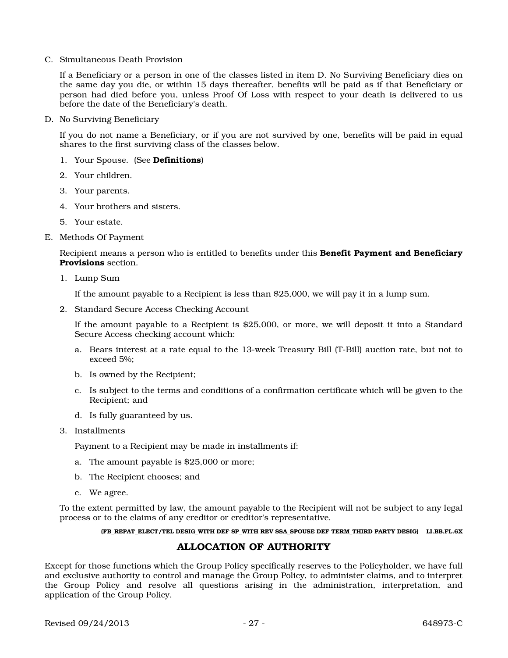C. Simultaneous Death Provision

If a Beneficiary or a person in one of the classes listed in item D. No Surviving Beneficiary dies on the same day you die, or within 15 days thereafter, benefits will be paid as if that Beneficiary or person had died before you, unless Proof Of Loss with respect to your death is delivered to us before the date of the Beneficiary's death.

D. No Surviving Beneficiary

If you do not name a Beneficiary, or if you are not survived by one, benefits will be paid in equal shares to the first surviving class of the classes below.

- 1. Your Spouse. (See Definitions)
- 2. Your children.
- 3. Your parents.
- 4. Your brothers and sisters.
- 5. Your estate.
- E. Methods Of Payment

Recipient means a person who is entitled to benefits under this **Benefit Payment and Beneficiary** Provisions section.

1. Lump Sum

If the amount payable to a Recipient is less than \$25,000, we will pay it in a lump sum.

2. Standard Secure Access Checking Account

If the amount payable to a Recipient is \$25,000, or more, we will deposit it into a Standard Secure Access checking account which:

- a. Bears interest at a rate equal to the 13-week Treasury Bill (T-Bill) auction rate, but not to exceed 5%;
- b. Is owned by the Recipient;
- c. Is subject to the terms and conditions of a confirmation certificate which will be given to the Recipient; and
- d. Is fully guaranteed by us.
- 3. Installments

Payment to a Recipient may be made in installments if:

- a. The amount payable is \$25,000 or more;
- b. The Recipient chooses; and
- c. We agree.

To the extent permitted by law, the amount payable to the Recipient will not be subject to any legal process or to the claims of any creditor or creditor's representative.

### (FB\_REPAT\_ELECT/TEL DESIG\_WITH DEF SP\_WITH REV SSA\_SPOUSE DEF TERM\_THIRD PARTY DESIG) LI.BB.FL.6X

## ALLOCATION OF AUTHORITY

Except for those functions which the Group Policy specifically reserves to the Policyholder, we have full and exclusive authority to control and manage the Group Policy, to administer claims, and to interpret the Group Policy and resolve all questions arising in the administration, interpretation, and application of the Group Policy.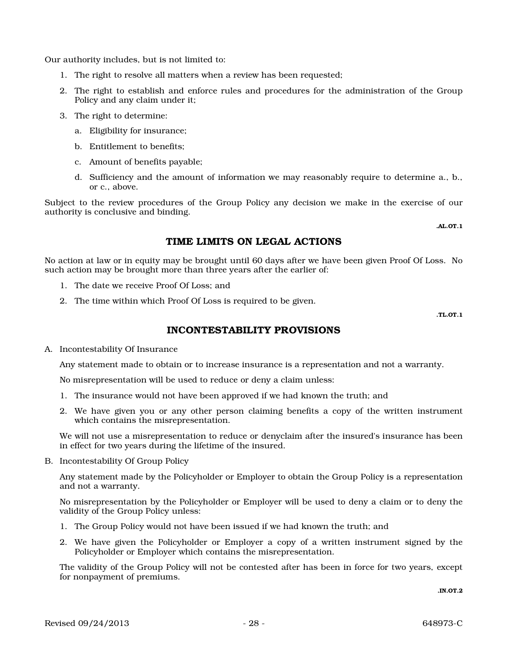Our authority includes, but is not limited to:

- 1. The right to resolve all matters when a review has been requested;
- 2. The right to establish and enforce rules and procedures for the administration of the Group Policy and any claim under it;
- 3. The right to determine:
	- a. Eligibility for insurance;
	- b. Entitlement to benefits;
	- c. Amount of benefits payable;
	- d. Sufficiency and the amount of information we may reasonably require to determine a., b., or c., above.

Subject to the review procedures of the Group Policy any decision we make in the exercise of our authority is conclusive and binding.

.AL.OT.1

## TIME LIMITS ON LEGAL ACTIONS

No action at law or in equity may be brought until 60 days after we have been given Proof Of Loss. No such action may be brought more than three years after the earlier of:

- 1. The date we receive Proof Of Loss; and
- 2. The time within which Proof Of Loss is required to be given.

.TL.OT.1

# INCONTESTABILITY PROVISIONS

A. Incontestability Of Insurance

Any statement made to obtain or to increase insurance is a representation and not a warranty.

No misrepresentation will be used to reduce or deny a claim unless:

- 1. The insurance would not have been approved if we had known the truth; and
- 2. We have given you or any other person claiming benefits a copy of the written instrument which contains the misrepresentation.

We will not use a misrepresentation to reduce or denyclaim after the insured's insurance has been in effect for two years during the lifetime of the insured.

B. Incontestability Of Group Policy

Any statement made by the Policyholder or Employer to obtain the Group Policy is a representation and not a warranty.

No misrepresentation by the Policyholder or Employer will be used to deny a claim or to deny the validity of the Group Policy unless:

- 1. The Group Policy would not have been issued if we had known the truth; and
- 2. We have given the Policyholder or Employer a copy of a written instrument signed by the Policyholder or Employer which contains the misrepresentation.

The validity of the Group Policy will not be contested after has been in force for two years, except for nonpayment of premiums.

.IN.OT.2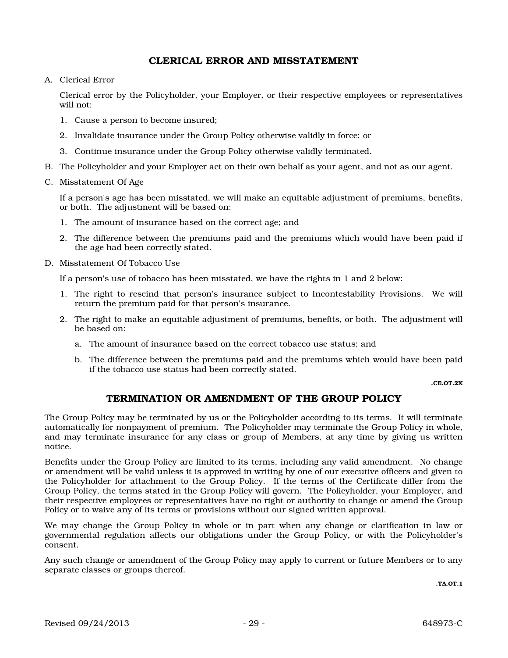### CLERICAL ERROR AND MISSTATEMENT

A. Clerical Error

Clerical error by the Policyholder, your Employer, or their respective employees or representatives will not:

- 1. Cause a person to become insured;
- 2. Invalidate insurance under the Group Policy otherwise validly in force; or
- 3. Continue insurance under the Group Policy otherwise validly terminated.
- B. The Policyholder and your Employer act on their own behalf as your agent, and not as our agent.
- C. Misstatement Of Age

If a person's age has been misstated, we will make an equitable adjustment of premiums, benefits, or both. The adjustment will be based on:

- 1. The amount of insurance based on the correct age; and
- 2. The difference between the premiums paid and the premiums which would have been paid if the age had been correctly stated.
- D. Misstatement Of Tobacco Use

If a person's use of tobacco has been misstated, we have the rights in 1 and 2 below:

- 1. The right to rescind that person's insurance subject to Incontestability Provisions. We will return the premium paid for that person's insurance.
- 2. The right to make an equitable adjustment of premiums, benefits, or both. The adjustment will be based on:
	- a. The amount of insurance based on the correct tobacco use status; and
	- b. The difference between the premiums paid and the premiums which would have been paid if the tobacco use status had been correctly stated.

.CE.OT.2X

## TERMINATION OR AMENDMENT OF THE GROUP POLICY

The Group Policy may be terminated by us or the Policyholder according to its terms. It will terminate automatically for nonpayment of premium. The Policyholder may terminate the Group Policy in whole, and may terminate insurance for any class or group of Members, at any time by giving us written notice.

Benefits under the Group Policy are limited to its terms, including any valid amendment. No change or amendment will be valid unless it is approved in writing by one of our executive officers and given to the Policyholder for attachment to the Group Policy. If the terms of the Certificate differ from the Group Policy, the terms stated in the Group Policy will govern. The Policyholder, your Employer, and their respective employees or representatives have no right or authority to change or amend the Group Policy or to waive any of its terms or provisions without our signed written approval.

We may change the Group Policy in whole or in part when any change or clarification in law or governmental regulation affects our obligations under the Group Policy, or with the Policyholder's consent.

Any such change or amendment of the Group Policy may apply to current or future Members or to any separate classes or groups thereof.

.TA.OT.1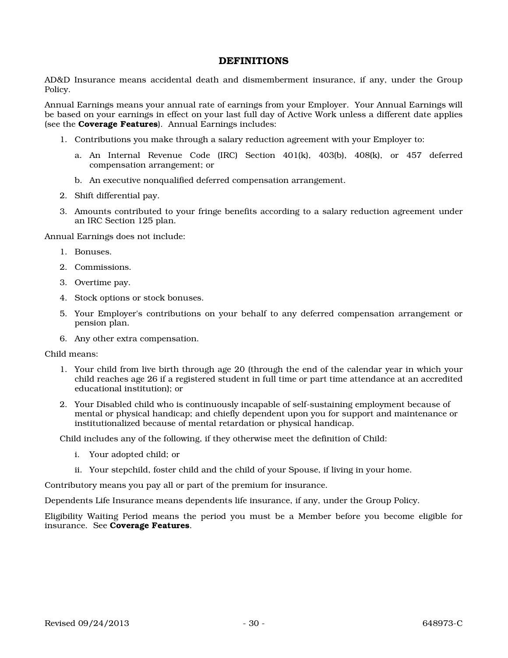### **DEFINITIONS**

AD&D Insurance means accidental death and dismemberment insurance, if any, under the Group Policy.

Annual Earnings means your annual rate of earnings from your Employer. Your Annual Earnings will be based on your earnings in effect on your last full day of Active Work unless a different date applies (see the Coverage Features). Annual Earnings includes:

- 1. Contributions you make through a salary reduction agreement with your Employer to:
	- a. An Internal Revenue Code (IRC) Section 401(k), 403(b), 408(k), or 457 deferred compensation arrangement; or
	- b. An executive nonqualified deferred compensation arrangement.
- 2. Shift differential pay.
- 3. Amounts contributed to your fringe benefits according to a salary reduction agreement under an IRC Section 125 plan.

Annual Earnings does not include:

- 1. Bonuses.
- 2. Commissions.
- 3. Overtime pay.
- 4. Stock options or stock bonuses.
- 5. Your Employer's contributions on your behalf to any deferred compensation arrangement or pension plan.
- 6. Any other extra compensation.

Child means:

- 1. Your child from live birth through age 20 (through the end of the calendar year in which your child reaches age 26 if a registered student in full time or part time attendance at an accredited educational institution); or
- 2. Your Disabled child who is continuously incapable of self-sustaining employment because of mental or physical handicap; and chiefly dependent upon you for support and maintenance or institutionalized because of mental retardation or physical handicap.

Child includes any of the following, if they otherwise meet the definition of Child:

- i. Your adopted child; or
- ii. Your stepchild, foster child and the child of your Spouse, if living in your home.

Contributory means you pay all or part of the premium for insurance.

Dependents Life Insurance means dependents life insurance, if any, under the Group Policy.

Eligibility Waiting Period means the period you must be a Member before you become eligible for insurance. See Coverage Features.